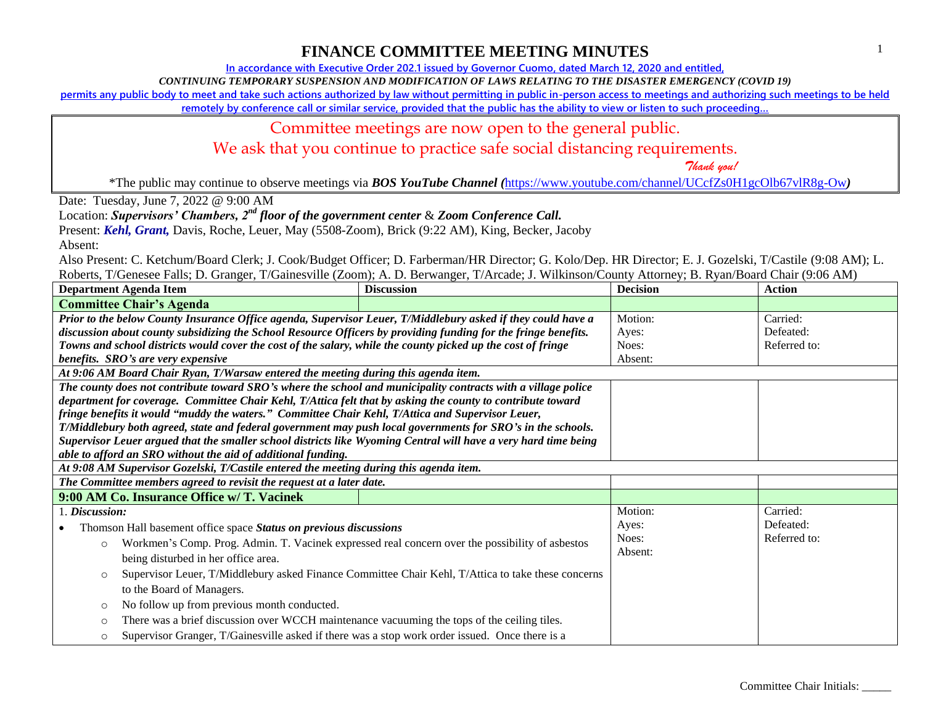**In accordance with Executive Order 202.1 issued by Governor Cuomo, dated March 12, 2020 and entitled,**

*CONTINUING TEMPORARY SUSPENSION AND MODIFICATION OF LAWS RELATING TO THE DISASTER EMERGENCY (COVID 19)*

**permits any public body to meet and take such actions authorized by law without permitting in public in-person access to meetings and authorizing such meetings to be held** 

**remotely by conference call or similar service, provided that the public has the ability to view or listen to such proceeding…**

#### Committee meetings are now open to the general public.

We ask that you continue to practice safe social distancing requirements.

 *Thank you!*

\*The public may continue to observe meetings via *BOS YouTube Channel (*<https://www.youtube.com/channel/UCcfZs0H1gcOlb67vlR8g-Ow>*)*

Date: Tuesday, June 7, 2022 @ 9:00 AM

Location: *Supervisors' Chambers, 2nd floor of the government center* & *Zoom Conference Call.*

Present: *Kehl, Grant,* Davis, Roche, Leuer, May (5508-Zoom), Brick (9:22 AM), King, Becker, Jacoby

Absent:

| <b>Department Agenda Item</b>                                                                                   | <b>Discussion</b> | <b>Decision</b> | <b>Action</b> |
|-----------------------------------------------------------------------------------------------------------------|-------------------|-----------------|---------------|
| <b>Committee Chair's Agenda</b>                                                                                 |                   |                 |               |
| Prior to the below County Insurance Office agenda, Supervisor Leuer, T/Middlebury asked if they could have a    |                   | Motion:         | Carried:      |
| discussion about county subsidizing the School Resource Officers by providing funding for the fringe benefits.  |                   | Ayes:           | Defeated:     |
| Towns and school districts would cover the cost of the salary, while the county picked up the cost of fringe    |                   | Noes:           | Referred to:  |
| benefits. SRO's are very expensive                                                                              |                   | Absent:         |               |
| At 9:06 AM Board Chair Ryan, T/Warsaw entered the meeting during this agenda item.                              |                   |                 |               |
| The county does not contribute toward SRO's where the school and municipality contracts with a village police   |                   |                 |               |
| department for coverage. Committee Chair Kehl, T/Attica felt that by asking the county to contribute toward     |                   |                 |               |
| fringe benefits it would "muddy the waters." Committee Chair Kehl, T/Attica and Supervisor Leuer,               |                   |                 |               |
| T/Middlebury both agreed, state and federal government may push local governments for SRO's in the schools.     |                   |                 |               |
| Supervisor Leuer argued that the smaller school districts like Wyoming Central will have a very hard time being |                   |                 |               |
| able to afford an SRO without the aid of additional funding.                                                    |                   |                 |               |
| At 9:08 AM Supervisor Gozelski, T/Castile entered the meeting during this agenda item.                          |                   |                 |               |
| The Committee members agreed to revisit the request at a later date.                                            |                   |                 |               |
| 9:00 AM Co. Insurance Office w/ T. Vacinek                                                                      |                   |                 |               |
| 1. Discussion:                                                                                                  |                   | Motion:         | Carried:      |
| Thomson Hall basement office space Status on previous discussions                                               |                   | Ayes:           | Defeated:     |
| Workmen's Comp. Prog. Admin. T. Vacinek expressed real concern over the possibility of asbestos<br>$\circ$      |                   | Noes:           | Referred to:  |
| being disturbed in her office area.                                                                             |                   | Absent:         |               |
| Supervisor Leuer, T/Middlebury asked Finance Committee Chair Kehl, T/Attica to take these concerns<br>$\circ$   |                   |                 |               |
| to the Board of Managers.                                                                                       |                   |                 |               |
| No follow up from previous month conducted.<br>$\circ$                                                          |                   |                 |               |
| There was a brief discussion over WCCH maintenance vacuuming the tops of the ceiling tiles.<br>$\circ$          |                   |                 |               |
| Supervisor Granger, T/Gainesville asked if there was a stop work order issued. Once there is a<br>$\circ$       |                   |                 |               |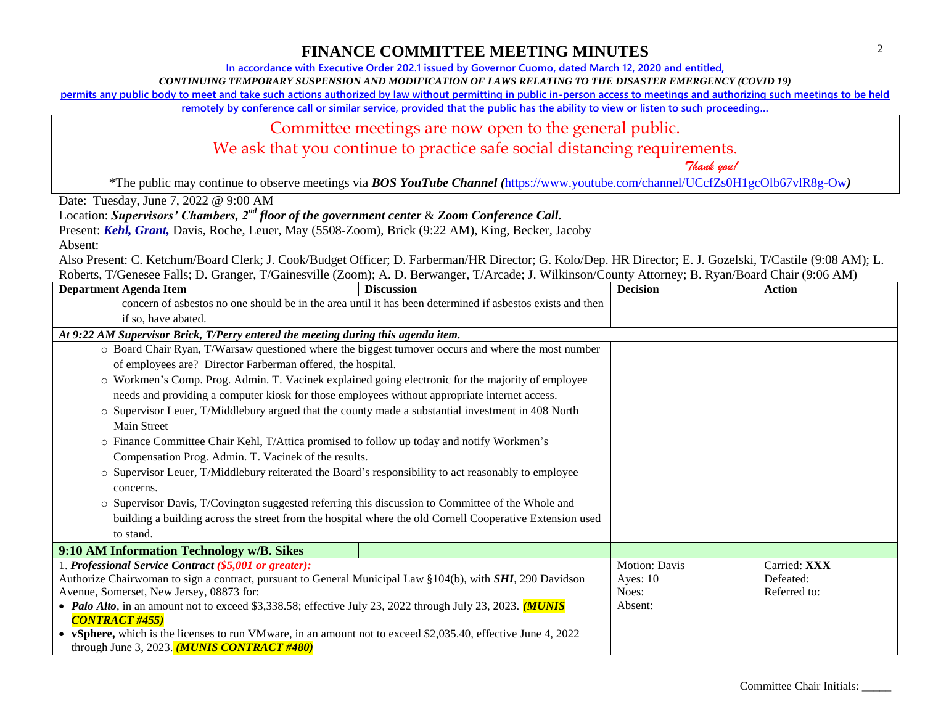**In accordance with Executive Order 202.1 issued by Governor Cuomo, dated March 12, 2020 and entitled,**

*CONTINUING TEMPORARY SUSPENSION AND MODIFICATION OF LAWS RELATING TO THE DISASTER EMERGENCY (COVID 19)*

**permits any public body to meet and take such actions authorized by law without permitting in public in-person access to meetings and authorizing such meetings to be held** 

**remotely by conference call or similar service, provided that the public has the ability to view or listen to such proceeding…**

### Committee meetings are now open to the general public.

We ask that you continue to practice safe social distancing requirements.

 *Thank you!*

\*The public may continue to observe meetings via *BOS YouTube Channel (*<https://www.youtube.com/channel/UCcfZs0H1gcOlb67vlR8g-Ow>*)*

Date: Tuesday, June 7, 2022 @ 9:00 AM

Location: *Supervisors' Chambers, 2nd floor of the government center* & *Zoom Conference Call.*

Present: *Kehl, Grant,* Davis, Roche, Leuer, May (5508-Zoom), Brick (9:22 AM), King, Becker, Jacoby

Absent:

| <b>Department Agenda Item</b>                                                                                                                                                | <b>Discussion</b>                                                                                                                                                                                                          | <b>Decision</b>                                 | <b>Action</b>             |
|------------------------------------------------------------------------------------------------------------------------------------------------------------------------------|----------------------------------------------------------------------------------------------------------------------------------------------------------------------------------------------------------------------------|-------------------------------------------------|---------------------------|
|                                                                                                                                                                              | concern of asbestos no one should be in the area until it has been determined if asbestos exists and then                                                                                                                  |                                                 |                           |
| if so, have abated.                                                                                                                                                          |                                                                                                                                                                                                                            |                                                 |                           |
|                                                                                                                                                                              | At 9:22 AM Supervisor Brick, T/Perry entered the meeting during this agenda item.                                                                                                                                          |                                                 |                           |
|                                                                                                                                                                              | O Board Chair Ryan, T/Warsaw questioned where the biggest turnover occurs and where the most number                                                                                                                        |                                                 |                           |
|                                                                                                                                                                              | of employees are? Director Farberman offered, the hospital.                                                                                                                                                                |                                                 |                           |
|                                                                                                                                                                              | o Workmen's Comp. Prog. Admin. T. Vacinek explained going electronic for the majority of employee                                                                                                                          |                                                 |                           |
|                                                                                                                                                                              | needs and providing a computer kiosk for those employees without appropriate internet access.                                                                                                                              |                                                 |                           |
|                                                                                                                                                                              | $\circ$ Supervisor Leuer, T/Middlebury argued that the county made a substantial investment in 408 North                                                                                                                   |                                                 |                           |
| <b>Main Street</b>                                                                                                                                                           |                                                                                                                                                                                                                            |                                                 |                           |
|                                                                                                                                                                              | o Finance Committee Chair Kehl, T/Attica promised to follow up today and notify Workmen's                                                                                                                                  |                                                 |                           |
|                                                                                                                                                                              | Compensation Prog. Admin. T. Vacinek of the results.                                                                                                                                                                       |                                                 |                           |
| concerns.                                                                                                                                                                    | ○ Supervisor Leuer, T/Middlebury reiterated the Board's responsibility to act reasonably to employee                                                                                                                       |                                                 |                           |
|                                                                                                                                                                              | ○ Supervisor Davis, T/Covington suggested referring this discussion to Committee of the Whole and                                                                                                                          |                                                 |                           |
|                                                                                                                                                                              | building a building across the street from the hospital where the old Cornell Cooperative Extension used                                                                                                                   |                                                 |                           |
| to stand.                                                                                                                                                                    |                                                                                                                                                                                                                            |                                                 |                           |
| 9:10 AM Information Technology w/B. Sikes                                                                                                                                    |                                                                                                                                                                                                                            |                                                 |                           |
|                                                                                                                                                                              |                                                                                                                                                                                                                            |                                                 | Carried: XXX              |
| Authorize Chairwoman to sign a contract, pursuant to General Municipal Law §104(b), with <b>SHI</b> , 290 Davidson                                                           |                                                                                                                                                                                                                            |                                                 |                           |
|                                                                                                                                                                              |                                                                                                                                                                                                                            |                                                 |                           |
|                                                                                                                                                                              |                                                                                                                                                                                                                            |                                                 |                           |
|                                                                                                                                                                              |                                                                                                                                                                                                                            |                                                 |                           |
|                                                                                                                                                                              |                                                                                                                                                                                                                            |                                                 |                           |
| 1. Professional Service Contract (\$5,001 or greater):<br>Avenue, Somerset, New Jersey, 08873 for:<br><b>CONTRACT #455)</b><br>through June 3, 2023. $(MUNIS$ CONTRACT #480) | • Palo Alto, in an amount not to exceed \$3,338.58; effective July 23, 2022 through July 23, 2023. (MUNIS<br>• vSphere, which is the licenses to run VMware, in an amount not to exceed \$2,035.40, effective June 4, 2022 | Motion: Davis<br>Ayes: $10$<br>Noes:<br>Absent: | Defeated:<br>Referred to: |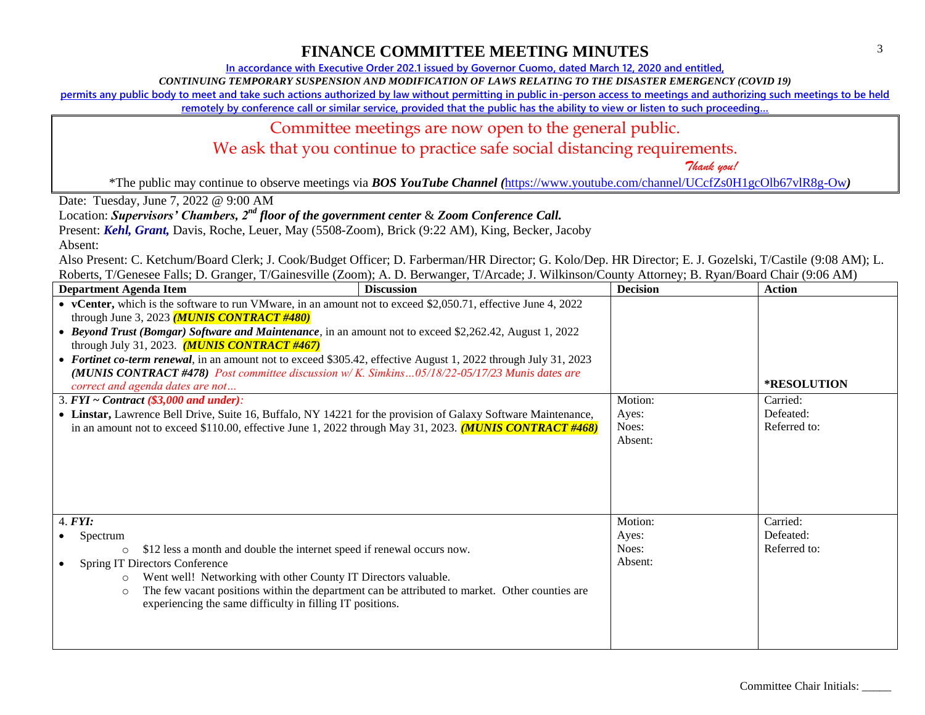**In accordance with Executive Order 202.1 issued by Governor Cuomo, dated March 12, 2020 and entitled,**

*CONTINUING TEMPORARY SUSPENSION AND MODIFICATION OF LAWS RELATING TO THE DISASTER EMERGENCY (COVID 19)*

**permits any public body to meet and take such actions authorized by law without permitting in public in-person access to meetings and authorizing such meetings to be held** 

**remotely by conference call or similar service, provided that the public has the ability to view or listen to such proceeding…**

### Committee meetings are now open to the general public.

We ask that you continue to practice safe social distancing requirements.

 *Thank you!*

\*The public may continue to observe meetings via *BOS YouTube Channel (*<https://www.youtube.com/channel/UCcfZs0H1gcOlb67vlR8g-Ow>*)*

Date: Tuesday, June 7, 2022 @ 9:00 AM

Location: *Supervisors' Chambers, 2nd floor of the government center* & *Zoom Conference Call.*

Present: *Kehl, Grant,* Davis, Roche, Leuer, May (5508-Zoom), Brick (9:22 AM), King, Becker, Jacoby

Absent:

| <b>Department Agenda Item</b>                                                                                                                                                                                                                                                                                                                                                                                                                                                                                                                                                                                                                                                                                                                                                                                                                                        | <b>Discussion</b>                                                                              | <b>Decision</b>                      | <b>Action</b>                                               |
|----------------------------------------------------------------------------------------------------------------------------------------------------------------------------------------------------------------------------------------------------------------------------------------------------------------------------------------------------------------------------------------------------------------------------------------------------------------------------------------------------------------------------------------------------------------------------------------------------------------------------------------------------------------------------------------------------------------------------------------------------------------------------------------------------------------------------------------------------------------------|------------------------------------------------------------------------------------------------|--------------------------------------|-------------------------------------------------------------|
| • vCenter, which is the software to run VMware, in an amount not to exceed \$2,050.71, effective June 4, 2022<br>through June 3, 2023 ( <i>MUNIS CONTRACT #480</i> )<br>• Beyond Trust (Bomgar) Software and Maintenance, in an amount not to exceed \$2,262.42, August 1, 2022<br>through July 31, 2023. $(MUNIS$ CONTRACT #467)<br>• Fortinet co-term renewal, in an amount not to exceed \$305.42, effective August 1, 2022 through July 31, 2023<br>(MUNIS CONTRACT #478) Post committee discussion w/K. Simkins05/18/22-05/17/23 Munis dates are<br>correct and agenda dates are not<br>3. $FYI \sim Contract$ (\$3,000 and under):<br>• Linstar, Lawrence Bell Drive, Suite 16, Buffalo, NY 14221 for the provision of Galaxy Software Maintenance,<br>in an amount not to exceed \$110.00, effective June 1, 2022 through May 31, 2023. (MUNIS CONTRACT #468) |                                                                                                | Motion:<br>Ayes:<br>Noes:<br>Absent: | <b>*RESOLUTION</b><br>Carried:<br>Defeated:<br>Referred to: |
| 4. <b>FYI</b> :<br>Spectrum<br>\$12 less a month and double the internet speed if renewal occurs now.<br>$\circ$<br>Spring IT Directors Conference<br>Went well! Networking with other County IT Directors valuable.<br>$\circ$<br>$\circ$<br>experiencing the same difficulty in filling IT positions.                                                                                                                                                                                                                                                                                                                                                                                                                                                                                                                                                              | The few vacant positions within the department can be attributed to market. Other counties are | Motion:<br>Ayes:<br>Noes:<br>Absent: | Carried:<br>Defeated:<br>Referred to:                       |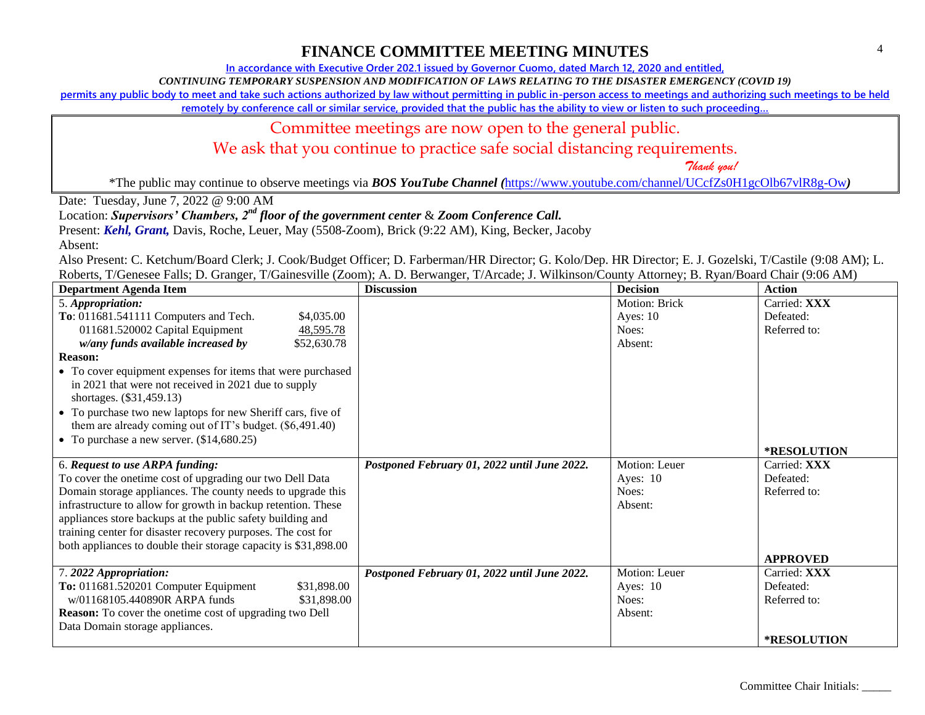**In accordance with Executive Order 202.1 issued by Governor Cuomo, dated March 12, 2020 and entitled,**

*CONTINUING TEMPORARY SUSPENSION AND MODIFICATION OF LAWS RELATING TO THE DISASTER EMERGENCY (COVID 19)*

**permits any public body to meet and take such actions authorized by law without permitting in public in-person access to meetings and authorizing such meetings to be held** 

**remotely by conference call or similar service, provided that the public has the ability to view or listen to such proceeding…**

### Committee meetings are now open to the general public.

We ask that you continue to practice safe social distancing requirements.

 *Thank you!*

\*The public may continue to observe meetings via *BOS YouTube Channel (*<https://www.youtube.com/channel/UCcfZs0H1gcOlb67vlR8g-Ow>*)*

Date: Tuesday, June 7, 2022 @ 9:00 AM

Location: *Supervisors' Chambers, 2nd floor of the government center* & *Zoom Conference Call.*

Present: *Kehl, Grant,* Davis, Roche, Leuer, May (5508-Zoom), Brick (9:22 AM), King, Becker, Jacoby

Absent:

| <b>Department Agenda Item</b>                                   | <b>Discussion</b>                            | <b>Decision</b> | <b>Action</b>      |
|-----------------------------------------------------------------|----------------------------------------------|-----------------|--------------------|
| 5. Appropriation:                                               |                                              | Motion: Brick   | Carried: XXX       |
| To: 011681.541111 Computers and Tech.<br>\$4,035.00             |                                              | Ayes: $10$      | Defeated:          |
| 011681.520002 Capital Equipment<br>48,595.78                    |                                              | Noes:           | Referred to:       |
| w/any funds available increased by<br>\$52,630.78               |                                              | Absent:         |                    |
| <b>Reason:</b>                                                  |                                              |                 |                    |
| • To cover equipment expenses for items that were purchased     |                                              |                 |                    |
| in 2021 that were not received in 2021 due to supply            |                                              |                 |                    |
| shortages. (\$31,459.13)                                        |                                              |                 |                    |
| • To purchase two new laptops for new Sheriff cars, five of     |                                              |                 |                    |
| them are already coming out of IT's budget. (\$6,491.40)        |                                              |                 |                    |
| • To purchase a new server. $(\$14,680.25)$                     |                                              |                 |                    |
|                                                                 |                                              |                 | *RESOLUTION        |
| 6. Request to use ARPA funding:                                 | Postponed February 01, 2022 until June 2022. | Motion: Leuer   | Carried: XXX       |
| To cover the onetime cost of upgrading our two Dell Data        |                                              | Ayes: $10$      | Defeated:          |
| Domain storage appliances. The county needs to upgrade this     |                                              | Noes:           | Referred to:       |
| infrastructure to allow for growth in backup retention. These   |                                              | Absent:         |                    |
| appliances store backups at the public safety building and      |                                              |                 |                    |
| training center for disaster recovery purposes. The cost for    |                                              |                 |                    |
| both appliances to double their storage capacity is \$31,898.00 |                                              |                 |                    |
|                                                                 |                                              |                 | <b>APPROVED</b>    |
| 7.2022 Appropriation:                                           | Postponed February 01, 2022 until June 2022. | Motion: Leuer   | Carried: XXX       |
| To: 011681.520201 Computer Equipment<br>\$31,898.00             |                                              | Ayes: $10$      | Defeated:          |
| w/01168105.440890R ARPA funds<br>\$31,898.00                    |                                              | Noes:           | Referred to:       |
| <b>Reason:</b> To cover the onetime cost of upgrading two Dell  |                                              | Absent:         |                    |
| Data Domain storage appliances.                                 |                                              |                 |                    |
|                                                                 |                                              |                 | <b>*RESOLUTION</b> |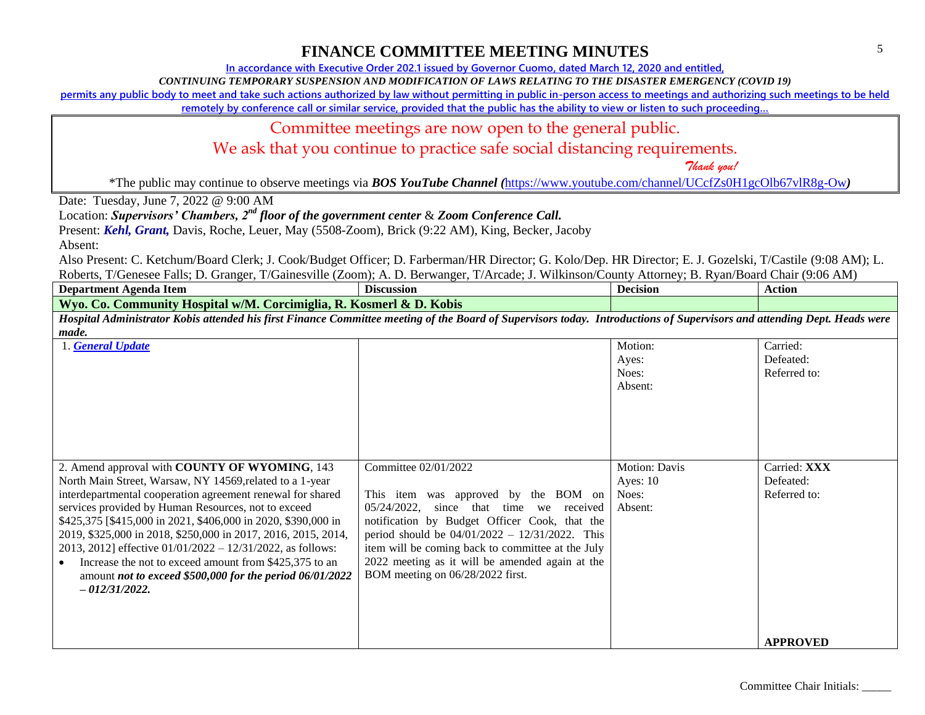**In accordance with Executive Order 202.1 issued by Governor Cuomo, dated March 12, 2020 and entitled,**

*CONTINUING TEMPORARY SUSPENSION AND MODIFICATION OF LAWS RELATING TO THE DISASTER EMERGENCY (COVID 19)*

**permits any public body to meet and take such actions authorized by law without permitting in public in-person access to meetings and authorizing such meetings to be held** 

remotely by conference call or similar service, provided that the public has the ability to view or listen to such proceeding...

### Committee meetings are now open to the general public.

We ask that you continue to practice safe social distancing requirements.

 *Thank you!*

\*The public may continue to observe meetings via *BOS YouTube Channel (*<https://www.youtube.com/channel/UCcfZs0H1gcOlb67vlR8g-Ow>*)*

Date: Tuesday, June 7, 2022 @ 9:00 AM

Location: *Supervisors' Chambers, 2nd floor of the government center* & *Zoom Conference Call.*

Present: *Kehl, Grant,* Davis, Roche, Leuer, May (5508-Zoom), Brick (9:22 AM), King, Becker, Jacoby

Absent:

Also Present: C. Ketchum/Board Clerk; J. Cook/Budget Officer; D. Farberman/HR Director; G. Kolo/Dep. HR Director; E. J. Gozelski, T/Castile (9:08 AM); L. Roberts, T/Genesee Falls; D. Granger, T/Gainesville (Zoom); A. D. Berwanger, T/Arcade; J. Wilkinson/County Attorney; B. Ryan/Board Chair (9:06 AM)

| Department Agenda Item                                                                                                    | Discussion | Decision                                                      | Action |
|---------------------------------------------------------------------------------------------------------------------------|------------|---------------------------------------------------------------|--------|
| Wvo.<br>Community Hospital w/M. Corcimiglia, R. Kosmerl & D. Kobis<br>Co. \                                               |            |                                                               |        |
| Hospital Administrator Kobis attended his first Finance Committee meeting of the Board of Supervisors today. <sup>7</sup> |            | " Introductions of Supervisors and attending Dept. Heads were |        |

*made.*

| <b>General Update</b>                                                                                                                                                                                                                                                                                                                                                                                                                                                                                                                                                         |                                                                                                                                                                                                                                                                                                                                                                             | Motion:<br>Ayes:<br>Noes:<br>Absent:                   | Carried:<br>Defeated:<br>Referred to:     |
|-------------------------------------------------------------------------------------------------------------------------------------------------------------------------------------------------------------------------------------------------------------------------------------------------------------------------------------------------------------------------------------------------------------------------------------------------------------------------------------------------------------------------------------------------------------------------------|-----------------------------------------------------------------------------------------------------------------------------------------------------------------------------------------------------------------------------------------------------------------------------------------------------------------------------------------------------------------------------|--------------------------------------------------------|-------------------------------------------|
| 2. Amend approval with COUNTY OF WYOMING, 143<br>North Main Street, Warsaw, NY 14569, related to a 1-year<br>interdepartmental cooperation agreement renewal for shared<br>services provided by Human Resources, not to exceed<br>\$425,375 [\$415,000 in 2021, \$406,000 in 2020, \$390,000 in<br>2019, \$325,000 in 2018, \$250,000 in 2017, 2016, 2015, 2014,<br>2013, 2012] effective $01/01/2022 - 12/31/2022$ , as follows:<br>Increase the not to exceed amount from \$425,375 to an<br>amount not to exceed $$500,000$ for the period $06/01/2022$<br>$-012/31/2022.$ | Committee 02/01/2022<br>item was approved by the BOM on<br>This<br>05/24/2022.<br>since<br>that<br>time<br>received<br>we<br>notification by Budget Officer Cook, that the<br>period should be $04/01/2022 - 12/31/2022$ . This<br>item will be coming back to committee at the July<br>2022 meeting as it will be amended again at the<br>BOM meeting on 06/28/2022 first. | <b>Motion: Davis</b><br>Ayes: $10$<br>Noes:<br>Absent: | Carried: XXX<br>Defeated:<br>Referred to: |
|                                                                                                                                                                                                                                                                                                                                                                                                                                                                                                                                                                               |                                                                                                                                                                                                                                                                                                                                                                             |                                                        | <b>APPROVED</b>                           |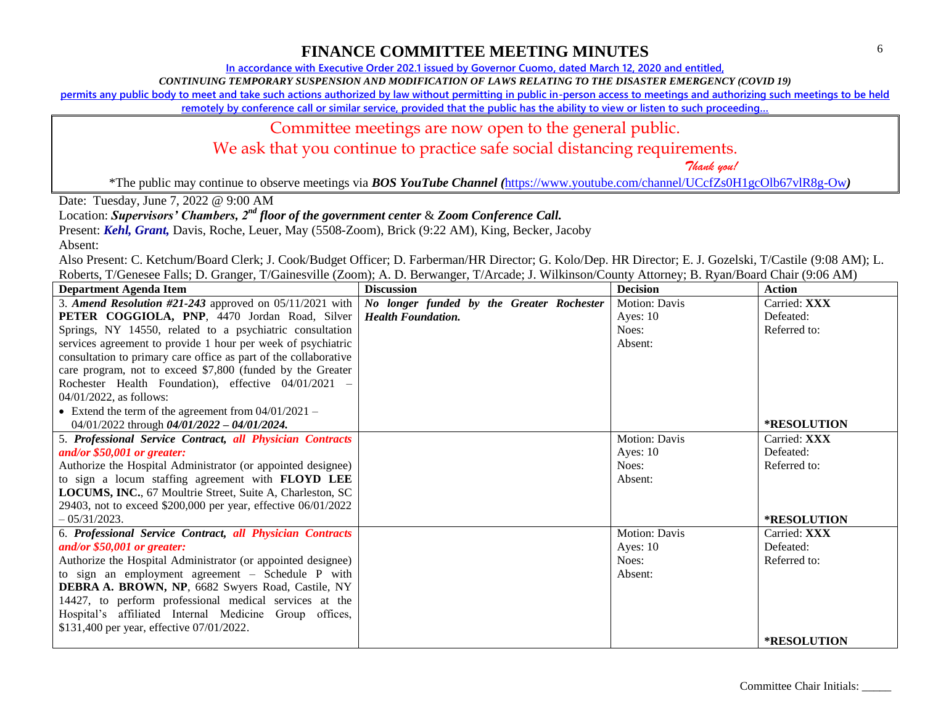6

### **FINANCE COMMITTEE MEETING MINUTES**

**In accordance with Executive Order 202.1 issued by Governor Cuomo, dated March 12, 2020 and entitled,**

*CONTINUING TEMPORARY SUSPENSION AND MODIFICATION OF LAWS RELATING TO THE DISASTER EMERGENCY (COVID 19)*

**permits any public body to meet and take such actions authorized by law without permitting in public in-person access to meetings and authorizing such meetings to be held** 

remotely by conference call or similar service, provided that the public has the ability to view or listen to such proceeding...

#### Committee meetings are now open to the general public.

We ask that you continue to practice safe social distancing requirements.

 *Thank you!*

\*The public may continue to observe meetings via *BOS YouTube Channel (*<https://www.youtube.com/channel/UCcfZs0H1gcOlb67vlR8g-Ow>*)*

Date: Tuesday, June 7, 2022 @ 9:00 AM

Location: *Supervisors' Chambers, 2nd floor of the government center* & *Zoom Conference Call.*

Present: *Kehl, Grant,* Davis, Roche, Leuer, May (5508-Zoom), Brick (9:22 AM), King, Becker, Jacoby

Absent:

| <b>Department Agenda Item</b>                                    | <b>Discussion</b>                         | <b>Decision</b>      | Action             |
|------------------------------------------------------------------|-------------------------------------------|----------------------|--------------------|
| 3. Amend Resolution #21-243 approved on $05/11/2021$ with        | No longer funded by the Greater Rochester | <b>Motion: Davis</b> | Carried: XXX       |
| PETER COGGIOLA, PNP, 4470 Jordan Road, Silver                    | <b>Health Foundation.</b>                 | Ayes: $10$           | Defeated:          |
| Springs, NY 14550, related to a psychiatric consultation         |                                           | Noes:                | Referred to:       |
| services agreement to provide 1 hour per week of psychiatric     |                                           | Absent:              |                    |
| consultation to primary care office as part of the collaborative |                                           |                      |                    |
| care program, not to exceed \$7,800 (funded by the Greater       |                                           |                      |                    |
| Rochester Health Foundation), effective 04/01/2021 -             |                                           |                      |                    |
| 04/01/2022, as follows:                                          |                                           |                      |                    |
| • Extend the term of the agreement from $04/01/2021 -$           |                                           |                      |                    |
| 04/01/2022 through $04/01/2022 - 04/01/2024$ .                   |                                           |                      | <b>*RESOLUTION</b> |
| 5. Professional Service Contract, all Physician Contracts        |                                           | <b>Motion: Davis</b> | Carried: XXX       |
| and/or $$50,001$ or greater:                                     |                                           | Ayes: $10$           | Defeated:          |
| Authorize the Hospital Administrator (or appointed designee)     |                                           | Noes:                | Referred to:       |
| to sign a locum staffing agreement with FLOYD LEE                |                                           | Absent:              |                    |
| LOCUMS, INC., 67 Moultrie Street, Suite A, Charleston, SC        |                                           |                      |                    |
| 29403, not to exceed \$200,000 per year, effective 06/01/2022    |                                           |                      |                    |
| $-0.5/31/2023$ .                                                 |                                           |                      | <b>*RESOLUTION</b> |
| 6. Professional Service Contract, all Physician Contracts        |                                           | Motion: Davis        | Carried: XXX       |
| and/or $$50,001$ or greater:                                     |                                           | Ayes: $10$           | Defeated:          |
| Authorize the Hospital Administrator (or appointed designee)     |                                           | Noes:                | Referred to:       |
| to sign an employment agreement – Schedule P with                |                                           | Absent:              |                    |
| DEBRA A. BROWN, NP, 6682 Swyers Road, Castile, NY                |                                           |                      |                    |
| 14427, to perform professional medical services at the           |                                           |                      |                    |
| Hospital's affiliated Internal Medicine Group offices,           |                                           |                      |                    |
| \$131,400 per year, effective 07/01/2022.                        |                                           |                      |                    |
|                                                                  |                                           |                      | <b>*RESOLUTION</b> |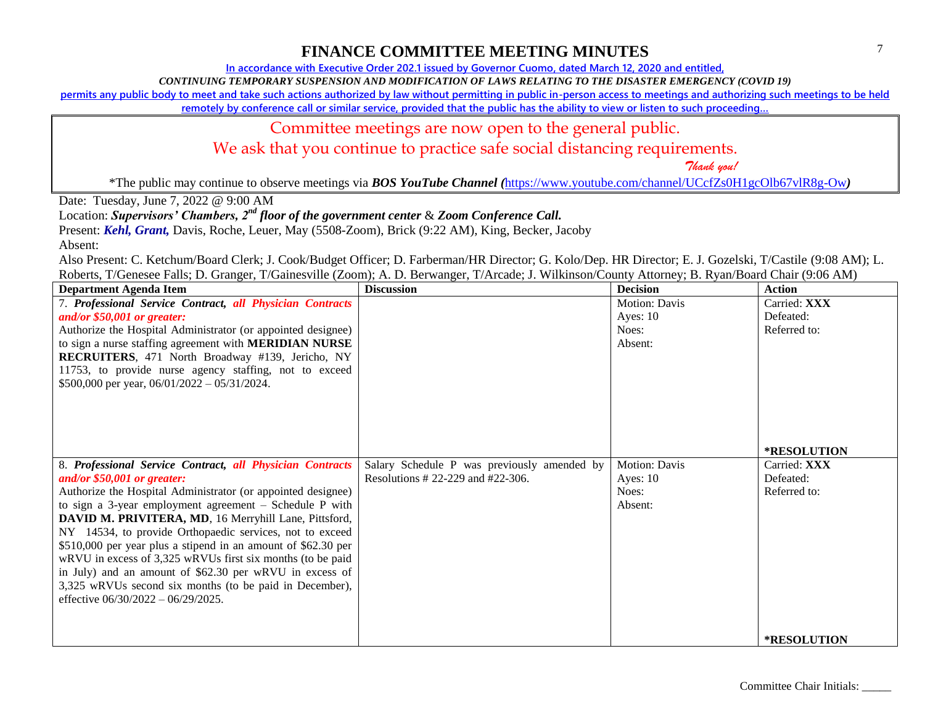**In accordance with Executive Order 202.1 issued by Governor Cuomo, dated March 12, 2020 and entitled,**

*CONTINUING TEMPORARY SUSPENSION AND MODIFICATION OF LAWS RELATING TO THE DISASTER EMERGENCY (COVID 19)*

**permits any public body to meet and take such actions authorized by law without permitting in public in-person access to meetings and authorizing such meetings to be held** 

**remotely by conference call or similar service, provided that the public has the ability to view or listen to such proceeding…**

#### Committee meetings are now open to the general public.

We ask that you continue to practice safe social distancing requirements.

 *Thank you!*

\*The public may continue to observe meetings via *BOS YouTube Channel (*<https://www.youtube.com/channel/UCcfZs0H1gcOlb67vlR8g-Ow>*)*

Date: Tuesday, June 7, 2022 @ 9:00 AM

Location: *Supervisors' Chambers, 2nd floor of the government center* & *Zoom Conference Call.*

Present: *Kehl, Grant,* Davis, Roche, Leuer, May (5508-Zoom), Brick (9:22 AM), King, Becker, Jacoby

Absent:

| <b>Department Agenda Item</b>                                 | <b>Discussion</b>                           | <b>Decision</b> | <b>Action</b>      |
|---------------------------------------------------------------|---------------------------------------------|-----------------|--------------------|
| 7. Professional Service Contract, all Physician Contracts     |                                             | Motion: Davis   | Carried: XXX       |
| and/or $$50,001$ or greater:                                  |                                             | Ayes: $10$      | Defeated:          |
| Authorize the Hospital Administrator (or appointed designee)  |                                             | Noes:           | Referred to:       |
| to sign a nurse staffing agreement with MERIDIAN NURSE        |                                             | Absent:         |                    |
| RECRUITERS, 471 North Broadway #139, Jericho, NY              |                                             |                 |                    |
| 11753, to provide nurse agency staffing, not to exceed        |                                             |                 |                    |
| \$500,000 per year, $06/01/2022 - 05/31/2024$ .               |                                             |                 |                    |
|                                                               |                                             |                 |                    |
|                                                               |                                             |                 |                    |
|                                                               |                                             |                 |                    |
|                                                               |                                             |                 |                    |
|                                                               |                                             |                 | <b>*RESOLUTION</b> |
| 8. Professional Service Contract, all Physician Contracts     | Salary Schedule P was previously amended by | Motion: Davis   | Carried: XXX       |
| and/or \$50,001 or greater:                                   | Resolutions # 22-229 and #22-306.           | Ayes: $10$      | Defeated:          |
| Authorize the Hospital Administrator (or appointed designee)  |                                             | Noes:           | Referred to:       |
| to sign a 3-year employment agreement $-$ Schedule P with     |                                             | Absent:         |                    |
| DAVID M. PRIVITERA, MD, 16 Merryhill Lane, Pittsford,         |                                             |                 |                    |
| NY 14534, to provide Orthopaedic services, not to exceed      |                                             |                 |                    |
| \$510,000 per year plus a stipend in an amount of \$62.30 per |                                             |                 |                    |
| wRVU in excess of 3,325 wRVUs first six months (to be paid    |                                             |                 |                    |
| in July) and an amount of \$62.30 per wRVU in excess of       |                                             |                 |                    |
| 3,325 wRVUs second six months (to be paid in December),       |                                             |                 |                    |
| effective 06/30/2022 - 06/29/2025.                            |                                             |                 |                    |
|                                                               |                                             |                 |                    |
|                                                               |                                             |                 |                    |
|                                                               |                                             |                 | <b>*RESOLUTION</b> |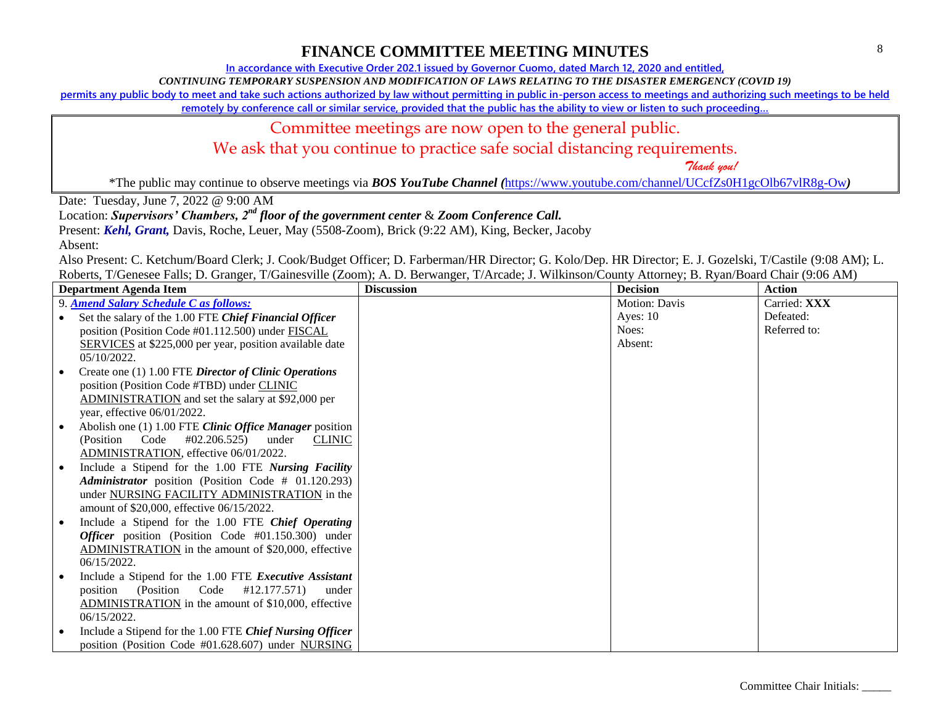**In accordance with Executive Order 202.1 issued by Governor Cuomo, dated March 12, 2020 and entitled,**

*CONTINUING TEMPORARY SUSPENSION AND MODIFICATION OF LAWS RELATING TO THE DISASTER EMERGENCY (COVID 19)*

**permits any public body to meet and take such actions authorized by law without permitting in public in-person access to meetings and authorizing such meetings to be held** 

**remotely by conference call or similar service, provided that the public has the ability to view or listen to such proceeding…**

### Committee meetings are now open to the general public.

We ask that you continue to practice safe social distancing requirements.

 *Thank you!*

\*The public may continue to observe meetings via *BOS YouTube Channel (*<https://www.youtube.com/channel/UCcfZs0H1gcOlb67vlR8g-Ow>*)*

Date: Tuesday, June 7, 2022 @ 9:00 AM

Location: *Supervisors' Chambers, 2nd floor of the government center* & *Zoom Conference Call.*

Present: *Kehl, Grant,* Davis, Roche, Leuer, May (5508-Zoom), Brick (9:22 AM), King, Becker, Jacoby

Absent:

| <b>Department Agenda Item</b>                                  | <b>Discussion</b> | <b>Decision</b>      | <b>Action</b> |
|----------------------------------------------------------------|-------------------|----------------------|---------------|
| 9. Amend Salary Schedule C as follows:                         |                   | <b>Motion: Davis</b> | Carried: XXX  |
| Set the salary of the 1.00 FTE Chief Financial Officer         |                   | Ayes: $10$           | Defeated:     |
| position (Position Code #01.112.500) under FISCAL              |                   | Noes:                | Referred to:  |
| <b>SERVICES</b> at \$225,000 per year, position available date |                   | Absent:              |               |
| 05/10/2022.                                                    |                   |                      |               |
| Create one (1) 1.00 FTE Director of Clinic Operations          |                   |                      |               |
| position (Position Code #TBD) under CLINIC                     |                   |                      |               |
| ADMINISTRATION and set the salary at \$92,000 per              |                   |                      |               |
| year, effective 06/01/2022.                                    |                   |                      |               |
| Abolish one (1) 1.00 FTE Clinic Office Manager position        |                   |                      |               |
| (Position Code #02.206.525)<br><b>CLINIC</b><br>under          |                   |                      |               |
| ADMINISTRATION, effective 06/01/2022.                          |                   |                      |               |
| Include a Stipend for the 1.00 FTE Nursing Facility            |                   |                      |               |
| Administrator position (Position Code # 01.120.293)            |                   |                      |               |
| under NURSING FACILITY ADMINISTRATION in the                   |                   |                      |               |
| amount of \$20,000, effective 06/15/2022.                      |                   |                      |               |
| Include a Stipend for the 1.00 FTE Chief Operating             |                   |                      |               |
| Officer position (Position Code #01.150.300) under             |                   |                      |               |
| ADMINISTRATION in the amount of \$20,000, effective            |                   |                      |               |
| $06/15/2022$ .                                                 |                   |                      |               |
| Include a Stipend for the 1.00 FTE Executive Assistant         |                   |                      |               |
| (Position Code #12.177.571)<br>position<br>under               |                   |                      |               |
| ADMINISTRATION in the amount of \$10,000, effective            |                   |                      |               |
| 06/15/2022.                                                    |                   |                      |               |
| Include a Stipend for the 1.00 FTE Chief Nursing Officer       |                   |                      |               |
| position (Position Code #01.628.607) under NURSING             |                   |                      |               |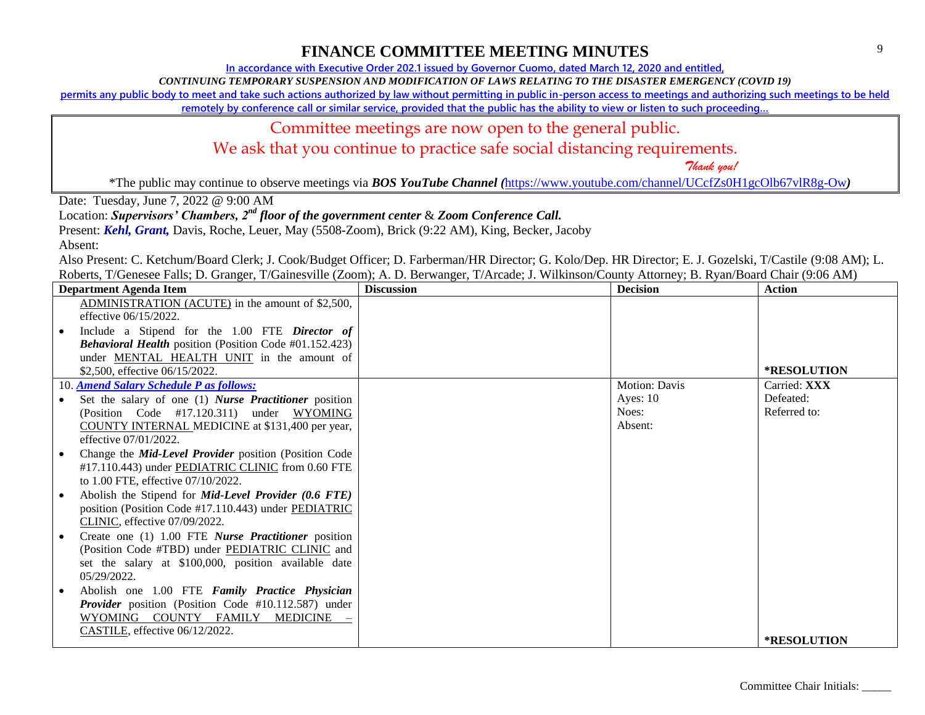**In accordance with Executive Order 202.1 issued by Governor Cuomo, dated March 12, 2020 and entitled,**

*CONTINUING TEMPORARY SUSPENSION AND MODIFICATION OF LAWS RELATING TO THE DISASTER EMERGENCY (COVID 19)*

**permits any public body to meet and take such actions authorized by law without permitting in public in-person access to meetings and authorizing such meetings to be held** 

**remotely by conference call or similar service, provided that the public has the ability to view or listen to such proceeding…**

### Committee meetings are now open to the general public.

We ask that you continue to practice safe social distancing requirements.

 *Thank you!*

\*The public may continue to observe meetings via *BOS YouTube Channel (*<https://www.youtube.com/channel/UCcfZs0H1gcOlb67vlR8g-Ow>*)*

Date: Tuesday, June 7, 2022 @ 9:00 AM

Location: *Supervisors' Chambers, 2nd floor of the government center* & *Zoom Conference Call.*

Present: *Kehl, Grant,* Davis, Roche, Leuer, May (5508-Zoom), Brick (9:22 AM), King, Becker, Jacoby

Absent:

| <b>Department Agenda Item</b>                                 | <b>Discussion</b> | <b>Decision</b>      | <b>Action</b>      |
|---------------------------------------------------------------|-------------------|----------------------|--------------------|
| ADMINISTRATION (ACUTE) in the amount of \$2,500,              |                   |                      |                    |
| effective 06/15/2022.                                         |                   |                      |                    |
| Include a Stipend for the 1.00 FTE Director of                |                   |                      |                    |
| <b>Behavioral Health position (Position Code #01.152.423)</b> |                   |                      |                    |
| under MENTAL HEALTH UNIT in the amount of                     |                   |                      |                    |
| \$2,500, effective 06/15/2022.                                |                   |                      | <b>*RESOLUTION</b> |
| 10. <b>Amend Salary Schedule P as follows:</b>                |                   | <b>Motion: Davis</b> | Carried: XXX       |
| Set the salary of one (1) Nurse Practitioner position         |                   | Ayes: $10$           | Defeated:          |
| (Position Code #17.120.311) under WYOMING                     |                   | Noes:                | Referred to:       |
| COUNTY INTERNAL MEDICINE at \$131,400 per year,               |                   | Absent:              |                    |
| effective 07/01/2022.                                         |                   |                      |                    |
| Change the <i>Mid-Level Provider</i> position (Position Code  |                   |                      |                    |
| #17.110.443) under PEDIATRIC CLINIC from 0.60 FTE             |                   |                      |                    |
| to 1.00 FTE, effective 07/10/2022.                            |                   |                      |                    |
| Abolish the Stipend for Mid-Level Provider (0.6 FTE)          |                   |                      |                    |
| position (Position Code #17.110.443) under PEDIATRIC          |                   |                      |                    |
| CLINIC, effective 07/09/2022.                                 |                   |                      |                    |
| Create one (1) 1.00 FTE Nurse Practitioner position           |                   |                      |                    |
| (Position Code #TBD) under PEDIATRIC CLINIC and               |                   |                      |                    |
| set the salary at \$100,000, position available date          |                   |                      |                    |
| $0.5/29/2022$ .                                               |                   |                      |                    |
| Abolish one 1.00 FTE Family Practice Physician                |                   |                      |                    |
| <b>Provider</b> position (Position Code #10.112.587) under    |                   |                      |                    |
| WYOMING COUNTY FAMILY<br>MEDICINE                             |                   |                      |                    |
| CASTILE, effective 06/12/2022.                                |                   |                      |                    |
|                                                               |                   |                      | <b>*RESOLUTION</b> |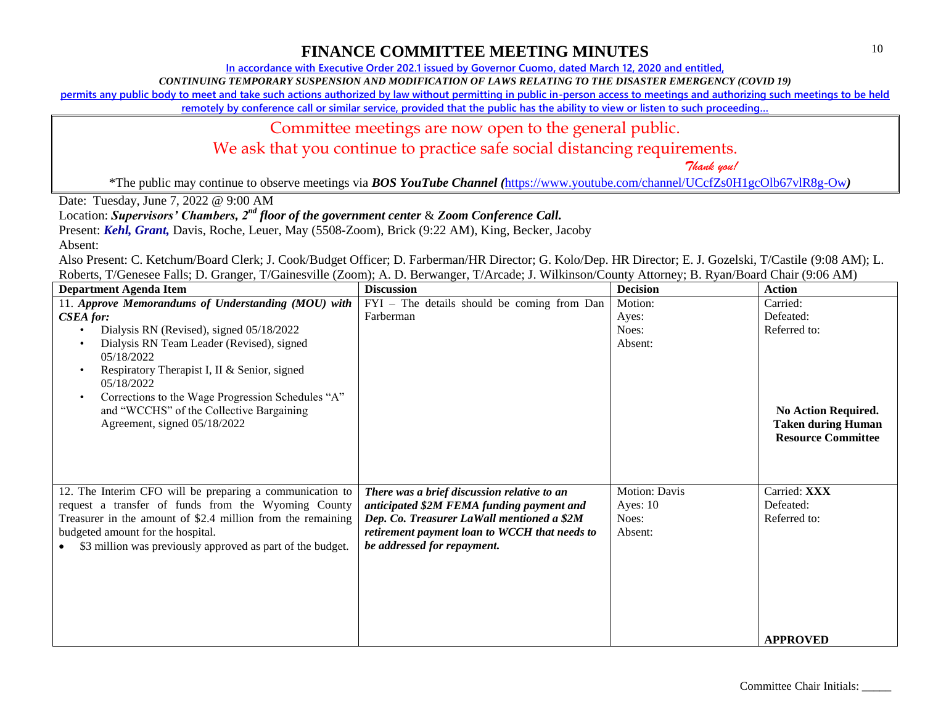**In accordance with Executive Order 202.1 issued by Governor Cuomo, dated March 12, 2020 and entitled,**

*CONTINUING TEMPORARY SUSPENSION AND MODIFICATION OF LAWS RELATING TO THE DISASTER EMERGENCY (COVID 19)*

**permits any public body to meet and take such actions authorized by law without permitting in public in-person access to meetings and authorizing such meetings to be held** 

**remotely by conference call or similar service, provided that the public has the ability to view or listen to such proceeding…**

### Committee meetings are now open to the general public.

We ask that you continue to practice safe social distancing requirements.

 *Thank you!*

\*The public may continue to observe meetings via *BOS YouTube Channel (*<https://www.youtube.com/channel/UCcfZs0H1gcOlb67vlR8g-Ow>*)*

Date: Tuesday, June 7, 2022 @ 9:00 AM

Location: *Supervisors' Chambers, 2nd floor of the government center* & *Zoom Conference Call.*

Present: *Kehl, Grant,* Davis, Roche, Leuer, May (5508-Zoom), Brick (9:22 AM), King, Becker, Jacoby

Absent:

| <b>Department Agenda Item</b>                                  | <b>Discussion</b>                             | <b>Decision</b>      | <b>Action</b>             |
|----------------------------------------------------------------|-----------------------------------------------|----------------------|---------------------------|
| 11. Approve Memorandums of Understanding (MOU) with            | FYI - The details should be coming from Dan   | Motion:              | Carried:                  |
| <b>CSEA</b> for:                                               | Farberman                                     | Ayes:                | Defeated:                 |
| Dialysis RN (Revised), signed 05/18/2022<br>$\bullet$          |                                               | Noes:                | Referred to:              |
| Dialysis RN Team Leader (Revised), signed<br>$\bullet$         |                                               | Absent:              |                           |
| 05/18/2022                                                     |                                               |                      |                           |
| Respiratory Therapist I, II & Senior, signed<br>$\bullet$      |                                               |                      |                           |
| 05/18/2022                                                     |                                               |                      |                           |
| Corrections to the Wage Progression Schedules "A"<br>$\bullet$ |                                               |                      |                           |
| and "WCCHS" of the Collective Bargaining                       |                                               |                      | No Action Required.       |
| Agreement, signed 05/18/2022                                   |                                               |                      | <b>Taken during Human</b> |
|                                                                |                                               |                      | <b>Resource Committee</b> |
|                                                                |                                               |                      |                           |
|                                                                |                                               |                      |                           |
| 12. The Interim CFO will be preparing a communication to       | There was a brief discussion relative to an   | <b>Motion: Davis</b> | Carried: XXX              |
| request a transfer of funds from the Wyoming County            | anticipated \$2M FEMA funding payment and     | Ayes: $10$           | Defeated:                 |
| Treasurer in the amount of \$2.4 million from the remaining    | Dep. Co. Treasurer LaWall mentioned a \$2M    | Noes:                | Referred to:              |
| budgeted amount for the hospital.                              | retirement payment loan to WCCH that needs to | Absent:              |                           |
| \$3 million was previously approved as part of the budget.     | be addressed for repayment.                   |                      |                           |
|                                                                |                                               |                      |                           |
|                                                                |                                               |                      |                           |
|                                                                |                                               |                      |                           |
|                                                                |                                               |                      |                           |
|                                                                |                                               |                      |                           |
|                                                                |                                               |                      |                           |
|                                                                |                                               |                      | <b>APPROVED</b>           |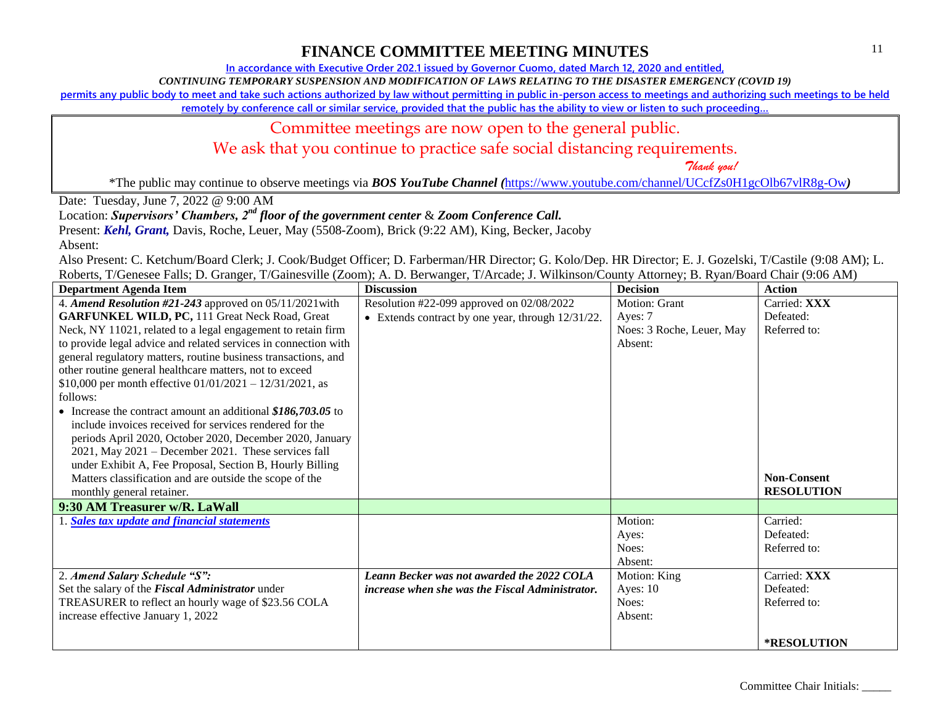**In accordance with Executive Order 202.1 issued by Governor Cuomo, dated March 12, 2020 and entitled,**

*CONTINUING TEMPORARY SUSPENSION AND MODIFICATION OF LAWS RELATING TO THE DISASTER EMERGENCY (COVID 19)*

**permits any public body to meet and take such actions authorized by law without permitting in public in-person access to meetings and authorizing such meetings to be held** 

remotely by conference call or similar service, provided that the public has the ability to view or listen to such proceeding...

### Committee meetings are now open to the general public.

We ask that you continue to practice safe social distancing requirements.

 *Thank you!*

\*The public may continue to observe meetings via *BOS YouTube Channel (*<https://www.youtube.com/channel/UCcfZs0H1gcOlb67vlR8g-Ow>*)*

Date: Tuesday, June 7, 2022 @ 9:00 AM

Location: *Supervisors' Chambers, 2nd floor of the government center* & *Zoom Conference Call.*

Present: *Kehl, Grant,* Davis, Roche, Leuer, May (5508-Zoom), Brick (9:22 AM), King, Becker, Jacoby

Absent:

| <b>Department Agenda Item</b>                                   | <b>Discussion</b>                                      | <b>Decision</b>           | <b>Action</b>      |
|-----------------------------------------------------------------|--------------------------------------------------------|---------------------------|--------------------|
| 4. Amend Resolution #21-243 approved on 05/11/2021 with         | Resolution #22-099 approved on 02/08/2022              | Motion: Grant             | Carried: XXX       |
| <b>GARFUNKEL WILD, PC, 111 Great Neck Road, Great</b>           | • Extends contract by one year, through $12/31/22$ .   | Ayes: 7                   | Defeated:          |
| Neck, NY 11021, related to a legal engagement to retain firm    |                                                        | Noes: 3 Roche, Leuer, May | Referred to:       |
| to provide legal advice and related services in connection with |                                                        | Absent:                   |                    |
| general regulatory matters, routine business transactions, and  |                                                        |                           |                    |
| other routine general healthcare matters, not to exceed         |                                                        |                           |                    |
| \$10,000 per month effective $01/01/2021 - 12/31/2021$ , as     |                                                        |                           |                    |
| follows:                                                        |                                                        |                           |                    |
| • Increase the contract amount an additional $$186,703.05$ to   |                                                        |                           |                    |
| include invoices received for services rendered for the         |                                                        |                           |                    |
| periods April 2020, October 2020, December 2020, January        |                                                        |                           |                    |
| 2021, May 2021 – December 2021. These services fall             |                                                        |                           |                    |
| under Exhibit A, Fee Proposal, Section B, Hourly Billing        |                                                        |                           |                    |
| Matters classification and are outside the scope of the         |                                                        |                           | <b>Non-Consent</b> |
| monthly general retainer.                                       |                                                        |                           | <b>RESOLUTION</b>  |
| 9:30 AM Treasurer w/R. LaWall                                   |                                                        |                           |                    |
| Sales tax update and financial statements                       |                                                        | Motion:                   | Carried:           |
|                                                                 |                                                        | Ayes:                     | Defeated:          |
|                                                                 |                                                        | Noes:                     | Referred to:       |
|                                                                 |                                                        | Absent:                   |                    |
| 2. Amend Salary Schedule "S":                                   | Leann Becker was not awarded the 2022 COLA             | Motion: King              | Carried: XXX       |
| Set the salary of the Fiscal Administrator under                | <i>increase when she was the Fiscal Administrator.</i> | Ayes: $10$                | Defeated:          |
| TREASURER to reflect an hourly wage of \$23.56 COLA             |                                                        | Noes:                     | Referred to:       |
| increase effective January 1, 2022                              |                                                        | Absent:                   |                    |
|                                                                 |                                                        |                           |                    |
|                                                                 |                                                        |                           | *RESOLUTION        |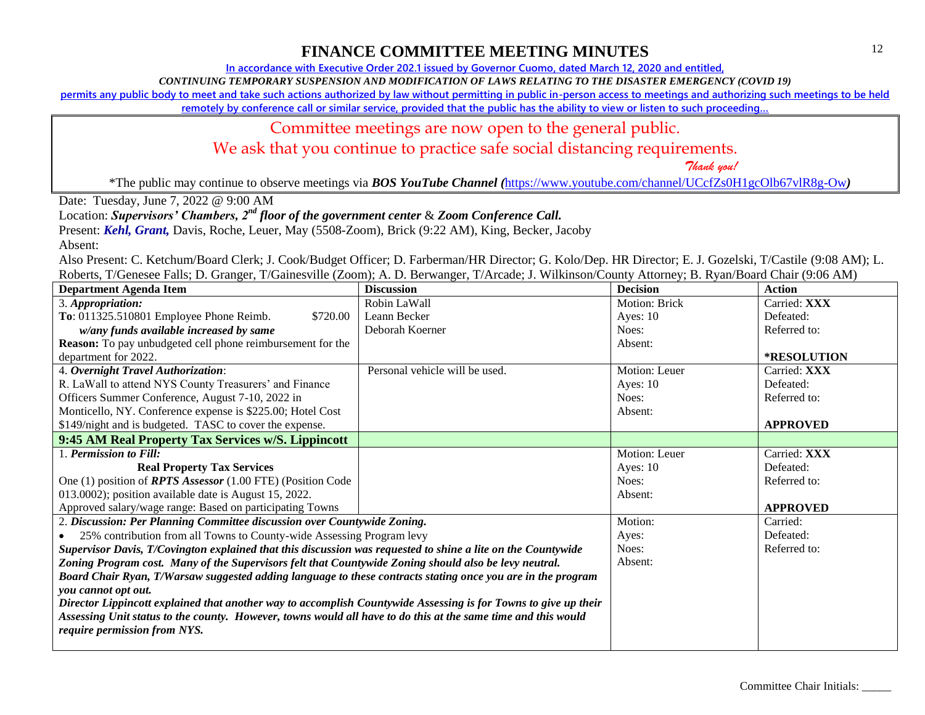**In accordance with Executive Order 202.1 issued by Governor Cuomo, dated March 12, 2020 and entitled,**

*CONTINUING TEMPORARY SUSPENSION AND MODIFICATION OF LAWS RELATING TO THE DISASTER EMERGENCY (COVID 19)*

**permits any public body to meet and take such actions authorized by law without permitting in public in-person access to meetings and authorizing such meetings to be held** 

remotely by conference call or similar service, provided that the public has the ability to view or listen to such proceeding...

### Committee meetings are now open to the general public.

We ask that you continue to practice safe social distancing requirements.

 *Thank you!*

\*The public may continue to observe meetings via *BOS YouTube Channel (*<https://www.youtube.com/channel/UCcfZs0H1gcOlb67vlR8g-Ow>*)*

Date: Tuesday, June 7, 2022 @ 9:00 AM

Location: *Supervisors' Chambers, 2nd floor of the government center* & *Zoom Conference Call.*

Present: *Kehl, Grant,* Davis, Roche, Leuer, May (5508-Zoom), Brick (9:22 AM), King, Becker, Jacoby

Absent:

| <b>Department Agenda Item</b>                                                                                   | <b>Discussion</b>              | <b>Decision</b> | <b>Action</b>      |
|-----------------------------------------------------------------------------------------------------------------|--------------------------------|-----------------|--------------------|
| 3. Appropriation:                                                                                               | Robin LaWall                   | Motion: Brick   | Carried: XXX       |
| To: 011325.510801 Employee Phone Reimb.<br>\$720.00                                                             | Leann Becker                   | Ayes: $10$      | Defeated:          |
| w/any funds available increased by same                                                                         | Deborah Koerner                | Noes:           | Referred to:       |
| <b>Reason:</b> To pay unbudgeted cell phone reimbursement for the                                               |                                | Absent:         |                    |
| department for 2022.                                                                                            |                                |                 | <b>*RESOLUTION</b> |
| 4. Overnight Travel Authorization:                                                                              | Personal vehicle will be used. | Motion: Leuer   | Carried: XXX       |
| R. LaWall to attend NYS County Treasurers' and Finance                                                          |                                | Ayes: $10$      | Defeated:          |
| Officers Summer Conference, August 7-10, 2022 in                                                                |                                | Noes:           | Referred to:       |
| Monticello, NY. Conference expense is \$225.00; Hotel Cost                                                      |                                | Absent:         |                    |
| \$149/night and is budgeted. TASC to cover the expense.                                                         |                                |                 | <b>APPROVED</b>    |
| 9:45 AM Real Property Tax Services w/S. Lippincott                                                              |                                |                 |                    |
| 1. Permission to Fill:                                                                                          |                                | Motion: Leuer   | Carried: XXX       |
| <b>Real Property Tax Services</b>                                                                               |                                | Ayes: 10        | Defeated:          |
| One (1) position of <b>RPTS</b> Assessor (1.00 FTE) (Position Code                                              |                                | Noes:           | Referred to:       |
| 013.0002); position available date is August 15, 2022.                                                          |                                | Absent:         |                    |
| Approved salary/wage range: Based on participating Towns                                                        |                                |                 | <b>APPROVED</b>    |
| 2. Discussion: Per Planning Committee discussion over Countywide Zoning.                                        |                                | Motion:         | Carried:           |
| 25% contribution from all Towns to County-wide Assessing Program levy                                           |                                | Ayes:           | Defeated:          |
| Supervisor Davis, T/Covington explained that this discussion was requested to shine a lite on the Countywide    |                                | Noes:           | Referred to:       |
| Zoning Program cost. Many of the Supervisors felt that Countywide Zoning should also be levy neutral.           |                                | Absent:         |                    |
| Board Chair Ryan, T/Warsaw suggested adding language to these contracts stating once you are in the program     |                                |                 |                    |
| you cannot opt out.                                                                                             |                                |                 |                    |
| Director Lippincott explained that another way to accomplish Countywide Assessing is for Towns to give up their |                                |                 |                    |
| Assessing Unit status to the county. However, towns would all have to do this at the same time and this would   |                                |                 |                    |
| require permission from NYS.                                                                                    |                                |                 |                    |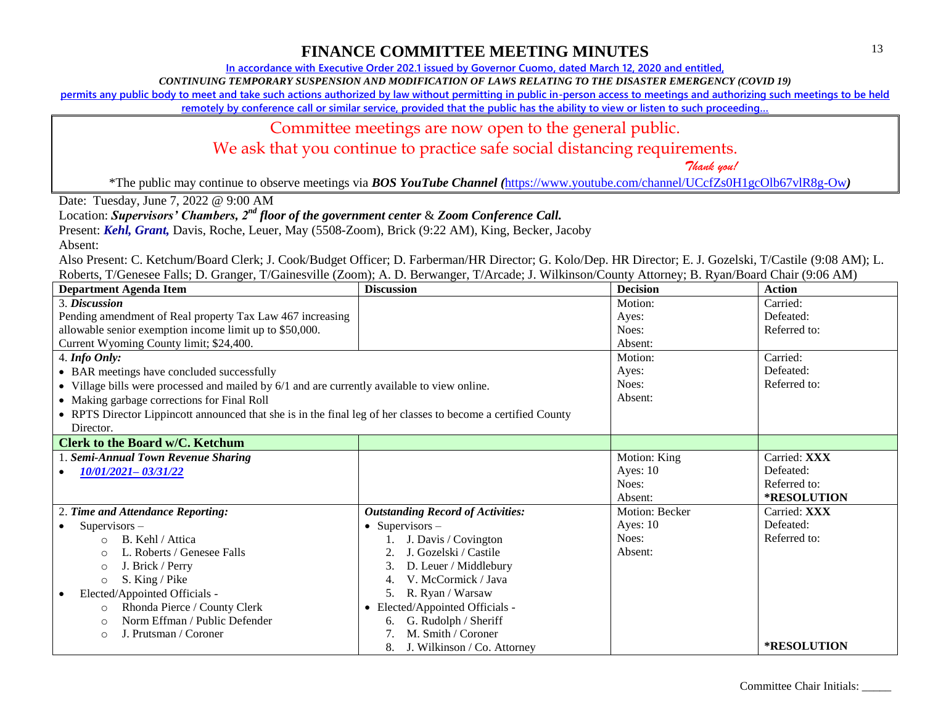**In accordance with Executive Order 202.1 issued by Governor Cuomo, dated March 12, 2020 and entitled,**

*CONTINUING TEMPORARY SUSPENSION AND MODIFICATION OF LAWS RELATING TO THE DISASTER EMERGENCY (COVID 19)*

**permits any public body to meet and take such actions authorized by law without permitting in public in-person access to meetings and authorizing such meetings to be held** 

**remotely by conference call or similar service, provided that the public has the ability to view or listen to such proceeding…**

#### Committee meetings are now open to the general public.

We ask that you continue to practice safe social distancing requirements.

 *Thank you!*

\*The public may continue to observe meetings via *BOS YouTube Channel (*<https://www.youtube.com/channel/UCcfZs0H1gcOlb67vlR8g-Ow>*)*

Date: Tuesday, June 7, 2022 @ 9:00 AM

Location: *Supervisors' Chambers, 2nd floor of the government center* & *Zoom Conference Call.*

Present: *Kehl, Grant,* Davis, Roche, Leuer, May (5508-Zoom), Brick (9:22 AM), King, Becker, Jacoby

Absent:

| <b>Department Agenda Item</b>                                                                                 | <b>Discussion</b>                        | <b>Decision</b> | <b>Action</b> |
|---------------------------------------------------------------------------------------------------------------|------------------------------------------|-----------------|---------------|
| 3. Discussion                                                                                                 |                                          | Motion:         | Carried:      |
| Pending amendment of Real property Tax Law 467 increasing                                                     |                                          | Ayes:           | Defeated:     |
| allowable senior exemption income limit up to \$50,000.                                                       |                                          | Noes:           | Referred to:  |
| Current Wyoming County limit; \$24,400.                                                                       |                                          | Absent:         |               |
| 4. Info Only:                                                                                                 |                                          | Motion:         | Carried:      |
| • BAR meetings have concluded successfully                                                                    |                                          | Ayes:           | Defeated:     |
| • Village bills were processed and mailed by 6/1 and are currently available to view online.                  |                                          | Noes:           | Referred to:  |
| • Making garbage corrections for Final Roll                                                                   |                                          | Absent:         |               |
| • RPTS Director Lippincott announced that she is in the final leg of her classes to become a certified County |                                          |                 |               |
| Director.                                                                                                     |                                          |                 |               |
| <b>Clerk to the Board w/C. Ketchum</b>                                                                        |                                          |                 |               |
| 1. Semi-Annual Town Revenue Sharing                                                                           |                                          | Motion: King    | Carried: XXX  |
| 10/01/2021-03/31/22                                                                                           |                                          | Ayes: $10$      | Defeated:     |
|                                                                                                               |                                          | Noes:           | Referred to:  |
|                                                                                                               |                                          | Absent:         | *RESOLUTION   |
| 2. Time and Attendance Reporting:                                                                             | <b>Outstanding Record of Activities:</b> | Motion: Becker  | Carried: XXX  |
| $Supervisors -$                                                                                               | • Supervisors $-$                        | Ayes: $10$      | Defeated:     |
| B. Kehl / Attica<br>$\Omega$                                                                                  | J. Davis / Covington                     | Noes:           | Referred to:  |
| L. Roberts / Genesee Falls<br>∩                                                                               | J. Gozelski / Castile                    | Absent:         |               |
| J. Brick / Perry<br>$\circ$                                                                                   | D. Leuer / Middlebury                    |                 |               |
| S. King / Pike<br>$\circ$                                                                                     | V. McCormick / Java                      |                 |               |
| Elected/Appointed Officials -                                                                                 | R. Ryan / Warsaw<br>5.                   |                 |               |
| Rhonda Pierce / County Clerk<br>$\circ$                                                                       | • Elected/Appointed Officials -          |                 |               |
| Norm Effman / Public Defender<br>$\Omega$                                                                     | G. Rudolph / Sheriff<br>6.               |                 |               |
| J. Prutsman / Coroner<br>∩                                                                                    | M. Smith / Coroner                       |                 |               |
|                                                                                                               | J. Wilkinson / Co. Attorney<br>8.        |                 | *RESOLUTION   |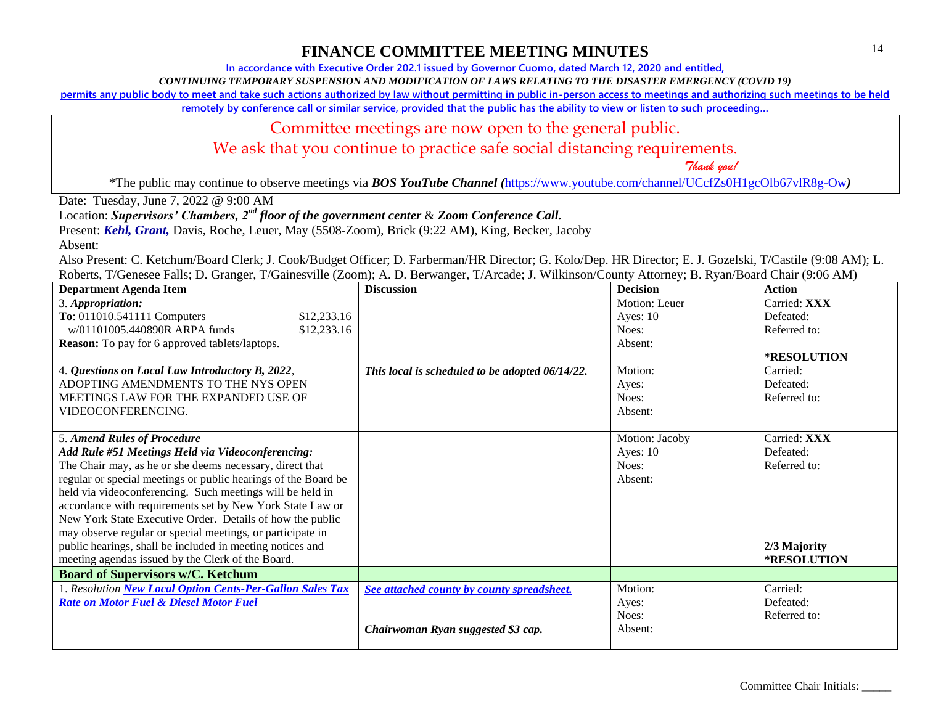**In accordance with Executive Order 202.1 issued by Governor Cuomo, dated March 12, 2020 and entitled,**

*CONTINUING TEMPORARY SUSPENSION AND MODIFICATION OF LAWS RELATING TO THE DISASTER EMERGENCY (COVID 19)*

**permits any public body to meet and take such actions authorized by law without permitting in public in-person access to meetings and authorizing such meetings to be held** 

**remotely by conference call or similar service, provided that the public has the ability to view or listen to such proceeding…**

#### Committee meetings are now open to the general public.

We ask that you continue to practice safe social distancing requirements.

 *Thank you!*

\*The public may continue to observe meetings via *BOS YouTube Channel (*<https://www.youtube.com/channel/UCcfZs0H1gcOlb67vlR8g-Ow>*)*

Date: Tuesday, June 7, 2022 @ 9:00 AM

Location: *Supervisors' Chambers, 2nd floor of the government center* & *Zoom Conference Call.*

Present: *Kehl, Grant,* Davis, Roche, Leuer, May (5508-Zoom), Brick (9:22 AM), King, Becker, Jacoby

Absent:

| <b>Department Agenda Item</b>                                  | <b>Discussion</b>                               | <b>Decision</b> | <b>Action</b>      |
|----------------------------------------------------------------|-------------------------------------------------|-----------------|--------------------|
| 3. Appropriation:                                              |                                                 | Motion: Leuer   | Carried: XXX       |
| To: 011010.541111 Computers<br>\$12,233.16                     |                                                 | Ayes: $10$      | Defeated:          |
| w/01101005.440890R ARPA funds<br>\$12,233.16                   |                                                 | Noes:           | Referred to:       |
| <b>Reason:</b> To pay for 6 approved tablets/laptops.          |                                                 | Absent:         |                    |
|                                                                |                                                 |                 | *RESOLUTION        |
| 4. Questions on Local Law Introductory B, 2022,                | This local is scheduled to be adopted 06/14/22. | Motion:         | Carried:           |
| ADOPTING AMENDMENTS TO THE NYS OPEN                            |                                                 | Ayes:           | Defeated:          |
| MEETINGS LAW FOR THE EXPANDED USE OF                           |                                                 | Noes:           | Referred to:       |
| VIDEOCONFERENCING.                                             |                                                 | Absent:         |                    |
|                                                                |                                                 |                 |                    |
| 5. Amend Rules of Procedure                                    |                                                 | Motion: Jacoby  | Carried: XXX       |
| Add Rule #51 Meetings Held via Videoconferencing:              |                                                 | Ayes: $10$      | Defeated:          |
| The Chair may, as he or she deems necessary, direct that       |                                                 | Noes:           | Referred to:       |
| regular or special meetings or public hearings of the Board be |                                                 | Absent:         |                    |
| held via videoconferencing. Such meetings will be held in      |                                                 |                 |                    |
| accordance with requirements set by New York State Law or      |                                                 |                 |                    |
| New York State Executive Order. Details of how the public      |                                                 |                 |                    |
| may observe regular or special meetings, or participate in     |                                                 |                 |                    |
| public hearings, shall be included in meeting notices and      |                                                 |                 | 2/3 Majority       |
| meeting agendas issued by the Clerk of the Board.              |                                                 |                 | <b>*RESOLUTION</b> |
| <b>Board of Supervisors w/C. Ketchum</b>                       |                                                 |                 |                    |
| 1. Resolution New Local Option Cents-Per-Gallon Sales Tax      | See attached county by county spreadsheet.      | Motion:         | Carried:           |
| <b>Rate on Motor Fuel &amp; Diesel Motor Fuel</b>              |                                                 | Ayes:           | Defeated:          |
|                                                                |                                                 | Noes:           | Referred to:       |
|                                                                | Chairwoman Ryan suggested \$3 cap.              | Absent:         |                    |
|                                                                |                                                 |                 |                    |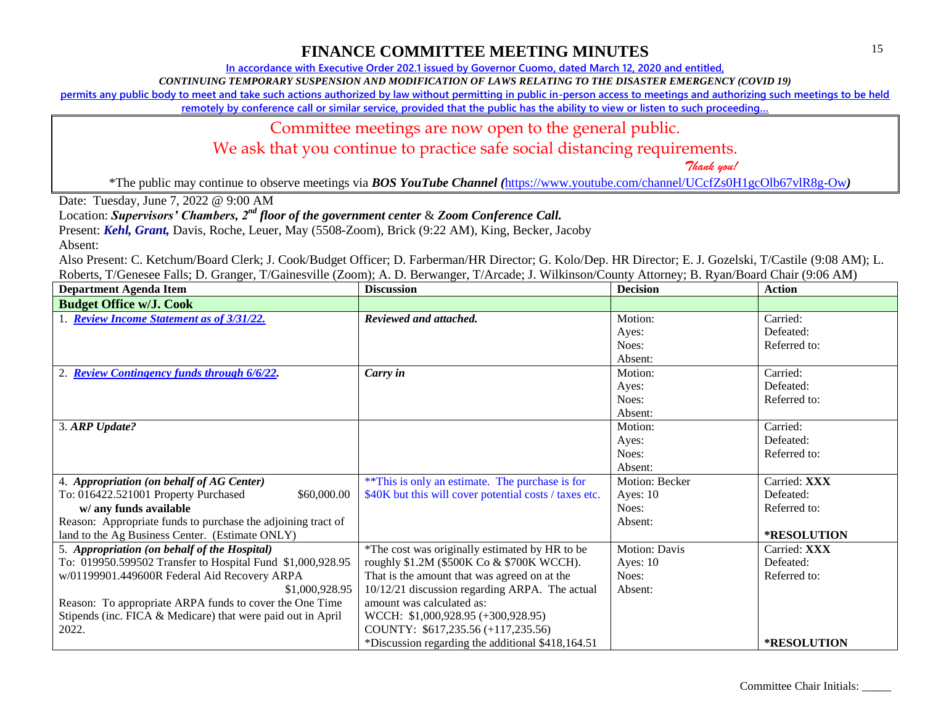**In accordance with Executive Order 202.1 issued by Governor Cuomo, dated March 12, 2020 and entitled,**

*CONTINUING TEMPORARY SUSPENSION AND MODIFICATION OF LAWS RELATING TO THE DISASTER EMERGENCY (COVID 19)*

**permits any public body to meet and take such actions authorized by law without permitting in public in-person access to meetings and authorizing such meetings to be held** 

**remotely by conference call or similar service, provided that the public has the ability to view or listen to such proceeding…**

### Committee meetings are now open to the general public.

We ask that you continue to practice safe social distancing requirements.

 *Thank you!*

\*The public may continue to observe meetings via *BOS YouTube Channel (*<https://www.youtube.com/channel/UCcfZs0H1gcOlb67vlR8g-Ow>*)*

Date: Tuesday, June 7, 2022 @ 9:00 AM

Location: *Supervisors' Chambers, 2nd floor of the government center* & *Zoom Conference Call.*

Present: *Kehl, Grant,* Davis, Roche, Leuer, May (5508-Zoom), Brick (9:22 AM), King, Becker, Jacoby

Absent:

| <b>Department Agenda Item</b>                                | <b>Discussion</b>                                      | <b>Decision</b>      | <b>Action</b>      |
|--------------------------------------------------------------|--------------------------------------------------------|----------------------|--------------------|
| <b>Budget Office w/J. Cook</b>                               |                                                        |                      |                    |
| 1. Review Income Statement as of 3/31/22.                    | Reviewed and attached.                                 | Motion:              | Carried:           |
|                                                              |                                                        | Ayes:                | Defeated:          |
|                                                              |                                                        | Noes:                | Referred to:       |
|                                                              |                                                        | Absent:              |                    |
| 2. Review Contingency funds through 6/6/22.                  | Carry in                                               | Motion:              | Carried:           |
|                                                              |                                                        | Ayes:                | Defeated:          |
|                                                              |                                                        | Noes:                | Referred to:       |
|                                                              |                                                        | Absent:              |                    |
| 3. ARP Update?                                               |                                                        | Motion:              | Carried:           |
|                                                              |                                                        | Ayes:                | Defeated:          |
|                                                              |                                                        | Noes:                | Referred to:       |
|                                                              |                                                        | Absent:              |                    |
| 4. Appropriation (on behalf of AG Center)                    | ** This is only an estimate. The purchase is for       | Motion: Becker       | Carried: XXX       |
| To: 016422.521001 Property Purchased<br>\$60,000.00          | \$40K but this will cover potential costs / taxes etc. | Ayes: $10$           | Defeated:          |
| w/ any funds available                                       |                                                        | Noes:                | Referred to:       |
| Reason: Appropriate funds to purchase the adjoining tract of |                                                        | Absent:              |                    |
| land to the Ag Business Center. (Estimate ONLY)              |                                                        |                      | *RESOLUTION        |
| 5. Appropriation (on behalf of the Hospital)                 | *The cost was originally estimated by HR to be         | <b>Motion: Davis</b> | Carried: XXX       |
| To: 019950.599502 Transfer to Hospital Fund \$1,000,928.95   | roughly \$1.2M (\$500K Co & \$700K WCCH).              | Ayes: $10$           | Defeated:          |
| w/01199901.449600R Federal Aid Recovery ARPA                 | That is the amount that was agreed on at the           | Noes:                | Referred to:       |
| \$1,000,928.95                                               | 10/12/21 discussion regarding ARPA. The actual         | Absent:              |                    |
| Reason: To appropriate ARPA funds to cover the One Time      | amount was calculated as:                              |                      |                    |
| Stipends (inc. FICA & Medicare) that were paid out in April  | WCCH: \$1,000,928.95 (+300,928.95)                     |                      |                    |
| 2022.                                                        | COUNTY: \$617,235.56 (+117,235.56)                     |                      |                    |
|                                                              | *Discussion regarding the additional \$418,164.51      |                      | <b>*RESOLUTION</b> |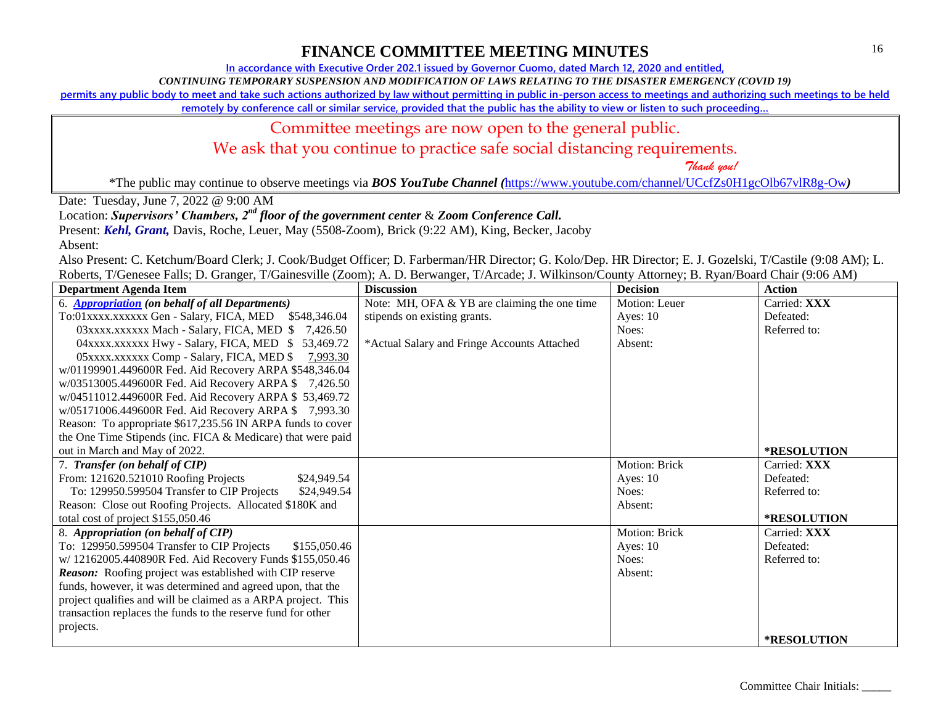**In accordance with Executive Order 202.1 issued by Governor Cuomo, dated March 12, 2020 and entitled,**

*CONTINUING TEMPORARY SUSPENSION AND MODIFICATION OF LAWS RELATING TO THE DISASTER EMERGENCY (COVID 19)*

**permits any public body to meet and take such actions authorized by law without permitting in public in-person access to meetings and authorizing such meetings to be held** 

**remotely by conference call or similar service, provided that the public has the ability to view or listen to such proceeding…**

### Committee meetings are now open to the general public.

We ask that you continue to practice safe social distancing requirements.

 *Thank you!*

\*The public may continue to observe meetings via *BOS YouTube Channel (*<https://www.youtube.com/channel/UCcfZs0H1gcOlb67vlR8g-Ow>*)*

Date: Tuesday, June 7, 2022 @ 9:00 AM

Location: *Supervisors' Chambers, 2nd floor of the government center* & *Zoom Conference Call.*

Present: *Kehl, Grant,* Davis, Roche, Leuer, May (5508-Zoom), Brick (9:22 AM), King, Becker, Jacoby

Absent:

| <b>Department Agenda Item</b>                                 | <b>Discussion</b>                            | <b>Decision</b> | <b>Action</b>      |
|---------------------------------------------------------------|----------------------------------------------|-----------------|--------------------|
| 6. Appropriation (on behalf of all Departments)               | Note: MH, OFA & YB are claiming the one time | Motion: Leuer   | Carried: XXX       |
| To:01xxxx.xxxxxx Gen - Salary, FICA, MED \$548,346.04         | stipends on existing grants.                 | Ayes: $10$      | Defeated:          |
| 03xxxx.xxxxxx Mach - Salary, FICA, MED \$7,426.50             |                                              | Noes:           | Referred to:       |
| 04xxxx.xxxxxx Hwy - Salary, FICA, MED \$53,469.72             | *Actual Salary and Fringe Accounts Attached  | Absent:         |                    |
| 05 xxxx.xxxxxx Comp - Salary, FICA, MED \$<br><u>7,993.30</u> |                                              |                 |                    |
| w/01199901.449600R Fed. Aid Recovery ARPA \$548,346.04        |                                              |                 |                    |
| w/03513005.449600R Fed. Aid Recovery ARPA \$7,426.50          |                                              |                 |                    |
| w/04511012.449600R Fed. Aid Recovery ARPA \$53,469.72         |                                              |                 |                    |
| w/05171006.449600R Fed. Aid Recovery ARPA \$7,993.30          |                                              |                 |                    |
| Reason: To appropriate \$617,235.56 IN ARPA funds to cover    |                                              |                 |                    |
| the One Time Stipends (inc. FICA & Medicare) that were paid   |                                              |                 |                    |
| out in March and May of 2022.                                 |                                              |                 | *RESOLUTION        |
| 7. Transfer (on behalf of CIP)                                |                                              | Motion: Brick   | Carried: XXX       |
| From: 121620.521010 Roofing Projects<br>\$24,949.54           |                                              | Ayes: $10$      | Defeated:          |
| To: 129950.599504 Transfer to CIP Projects<br>\$24,949.54     |                                              | Noes:           | Referred to:       |
| Reason: Close out Roofing Projects. Allocated \$180K and      |                                              | Absent:         |                    |
| total cost of project \$155,050.46                            |                                              |                 | *RESOLUTION        |
| 8. Appropriation (on behalf of CIP)                           |                                              | Motion: Brick   | Carried: XXX       |
| To: 129950.599504 Transfer to CIP Projects<br>\$155,050.46    |                                              | Ayes: $10$      | Defeated:          |
| w/ 12162005.440890R Fed. Aid Recovery Funds \$155,050.46      |                                              | Noes:           | Referred to:       |
| Reason: Roofing project was established with CIP reserve      |                                              | Absent:         |                    |
| funds, however, it was determined and agreed upon, that the   |                                              |                 |                    |
| project qualifies and will be claimed as a ARPA project. This |                                              |                 |                    |
| transaction replaces the funds to the reserve fund for other  |                                              |                 |                    |
| projects.                                                     |                                              |                 |                    |
|                                                               |                                              |                 | <b>*RESOLUTION</b> |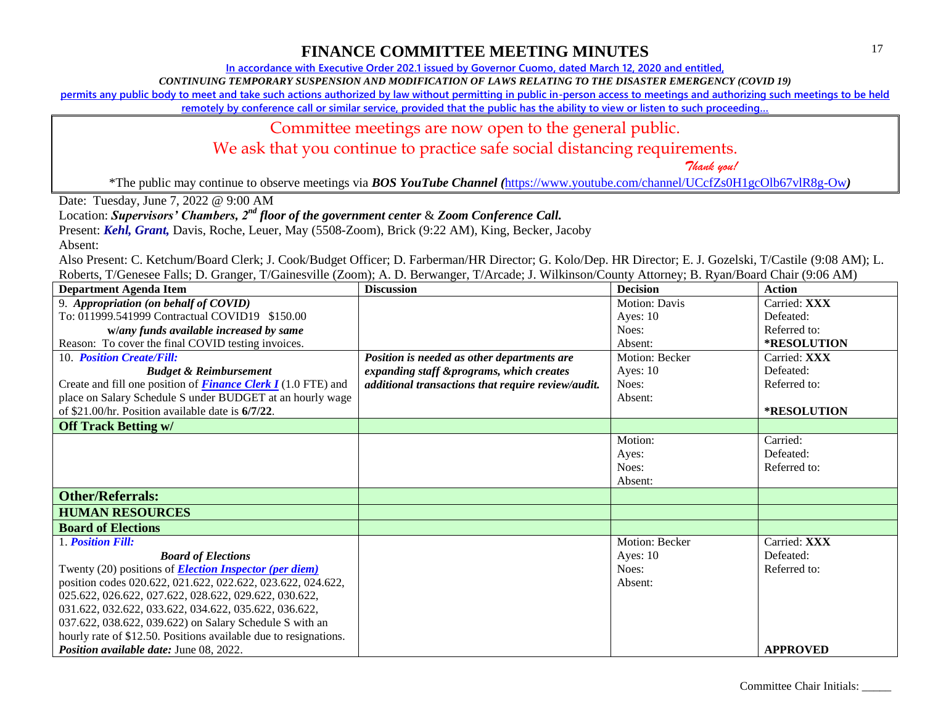**In accordance with Executive Order 202.1 issued by Governor Cuomo, dated March 12, 2020 and entitled,**

*CONTINUING TEMPORARY SUSPENSION AND MODIFICATION OF LAWS RELATING TO THE DISASTER EMERGENCY (COVID 19)*

**permits any public body to meet and take such actions authorized by law without permitting in public in-person access to meetings and authorizing such meetings to be held** 

**remotely by conference call or similar service, provided that the public has the ability to view or listen to such proceeding…**

### Committee meetings are now open to the general public.

We ask that you continue to practice safe social distancing requirements.

 *Thank you!*

\*The public may continue to observe meetings via *BOS YouTube Channel (*<https://www.youtube.com/channel/UCcfZs0H1gcOlb67vlR8g-Ow>*)*

Date: Tuesday, June 7, 2022 @ 9:00 AM

Location: *Supervisors' Chambers, 2nd floor of the government center* & *Zoom Conference Call.*

Present: *Kehl, Grant,* Davis, Roche, Leuer, May (5508-Zoom), Brick (9:22 AM), King, Becker, Jacoby

Absent:

| <b>Department Agenda Item</b>                                        | <b>Discussion</b>                                  | <b>Decision</b>      | <b>Action</b>   |
|----------------------------------------------------------------------|----------------------------------------------------|----------------------|-----------------|
| 9. Appropriation (on behalf of COVID)                                |                                                    | <b>Motion: Davis</b> | Carried: XXX    |
| To: 011999.541999 Contractual COVID19 \$150.00                       |                                                    | Ayes: $10$           | Defeated:       |
| w/any funds available increased by same                              |                                                    | Noes:                | Referred to:    |
| Reason: To cover the final COVID testing invoices.                   |                                                    | Absent:              | *RESOLUTION     |
| 10. Position Create/Fill:                                            | Position is needed as other departments are        | Motion: Becker       | Carried: XXX    |
| <b>Budget &amp; Reimbursement</b>                                    | expanding staff &programs, which creates           | Ayes: 10             | Defeated:       |
| Create and fill one position of <b>Finance Clerk I</b> (1.0 FTE) and | additional transactions that require review/audit. | Noes:                | Referred to:    |
| place on Salary Schedule S under BUDGET at an hourly wage            |                                                    | Absent:              |                 |
| of \$21.00/hr. Position available date is 6/7/22.                    |                                                    |                      | *RESOLUTION     |
| <b>Off Track Betting w/</b>                                          |                                                    |                      |                 |
|                                                                      |                                                    | Motion:              | Carried:        |
|                                                                      |                                                    | Ayes:                | Defeated:       |
|                                                                      |                                                    | Noes:                | Referred to:    |
|                                                                      |                                                    | Absent:              |                 |
| <b>Other/Referrals:</b>                                              |                                                    |                      |                 |
| <b>HUMAN RESOURCES</b>                                               |                                                    |                      |                 |
| <b>Board of Elections</b>                                            |                                                    |                      |                 |
| 1. Position Fill:                                                    |                                                    | Motion: Becker       | Carried: XXX    |
| <b>Board of Elections</b>                                            |                                                    | Ayes: $10$           | Defeated:       |
| Twenty (20) positions of <b>Election Inspector (per diem)</b>        |                                                    | Noes:                | Referred to:    |
| position codes 020.622, 021.622, 022.622, 023.622, 024.622,          |                                                    | Absent:              |                 |
| 025.622, 026.622, 027.622, 028.622, 029.622, 030.622,                |                                                    |                      |                 |
| 031.622, 032.622, 033.622, 034.622, 035.622, 036.622,                |                                                    |                      |                 |
| 037.622, 038.622, 039.622) on Salary Schedule S with an              |                                                    |                      |                 |
| hourly rate of \$12.50. Positions available due to resignations.     |                                                    |                      |                 |
| Position available date: June 08, 2022.                              |                                                    |                      | <b>APPROVED</b> |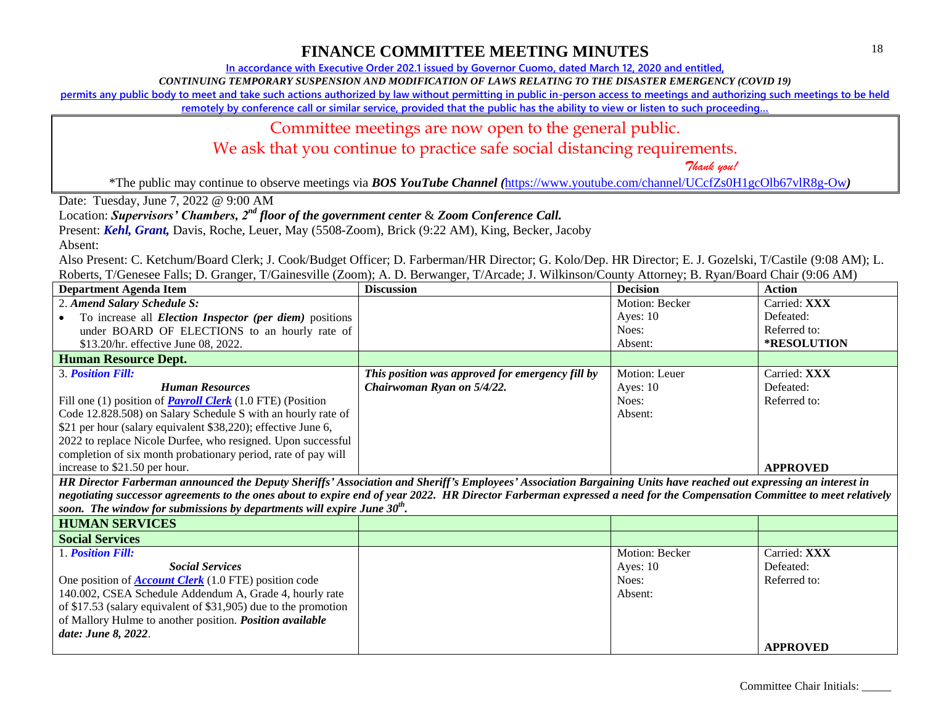**In accordance with Executive Order 202.1 issued by Governor Cuomo, dated March 12, 2020 and entitled,**

*CONTINUING TEMPORARY SUSPENSION AND MODIFICATION OF LAWS RELATING TO THE DISASTER EMERGENCY (COVID 19)*

**permits any public body to meet and take such actions authorized by law without permitting in public in-person access to meetings and authorizing such meetings to be held** 

remotely by conference call or similar service, provided that the public has the ability to view or listen to such proceeding...

#### Committee meetings are now open to the general public.

We ask that you continue to practice safe social distancing requirements.

 *Thank you!*

\*The public may continue to observe meetings via *BOS YouTube Channel (*<https://www.youtube.com/channel/UCcfZs0H1gcOlb67vlR8g-Ow>*)*

Date: Tuesday, June 7, 2022 @ 9:00 AM

Location: *Supervisors' Chambers, 2nd floor of the government center* & *Zoom Conference Call.*

Present: *Kehl, Grant,* Davis, Roche, Leuer, May (5508-Zoom), Brick (9:22 AM), King, Becker, Jacoby

Absent:

| Department Agenda Item                                                                                                                                                  | <b>Discussion</b>                                | <b>Decision</b> | <b>Action</b>      |
|-------------------------------------------------------------------------------------------------------------------------------------------------------------------------|--------------------------------------------------|-----------------|--------------------|
| 2. Amend Salary Schedule S:                                                                                                                                             |                                                  | Motion: Becker  | Carried: XXX       |
| To increase all <i>Election Inspector (per diem)</i> positions                                                                                                          |                                                  | Ayes: $10$      | Defeated:          |
| under BOARD OF ELECTIONS to an hourly rate of                                                                                                                           |                                                  | Noes:           | Referred to:       |
| \$13.20/hr. effective June 08, 2022.                                                                                                                                    |                                                  | Absent:         | <b>*RESOLUTION</b> |
| <b>Human Resource Dept.</b>                                                                                                                                             |                                                  |                 |                    |
| 3. Position Fill:                                                                                                                                                       | This position was approved for emergency fill by | Motion: Leuer   | Carried: XXX       |
| <b>Human Resources</b>                                                                                                                                                  | Chairwoman Ryan on 5/4/22.                       | Ayes: $10$      | Defeated:          |
| Fill one (1) position of <b>Payroll Clerk</b> (1.0 FTE) (Position                                                                                                       |                                                  | Noes:           | Referred to:       |
| Code 12.828.508) on Salary Schedule S with an hourly rate of                                                                                                            |                                                  | Absent:         |                    |
| \$21 per hour (salary equivalent \$38,220); effective June 6,                                                                                                           |                                                  |                 |                    |
| 2022 to replace Nicole Durfee, who resigned. Upon successful                                                                                                            |                                                  |                 |                    |
| completion of six month probationary period, rate of pay will                                                                                                           |                                                  |                 |                    |
| increase to \$21.50 per hour.                                                                                                                                           |                                                  |                 | <b>APPROVED</b>    |
| HR Director Farberman announced the Deputy Sheriffs' Association and Sheriff's Employees' Association Bargaining Units have reached out expressing an interest in       |                                                  |                 |                    |
| negotiating successor agreements to the ones about to expire end of year 2022. HR Director Farberman expressed a need for the Compensation Committee to meet relatively |                                                  |                 |                    |
| soon. The window for submissions by departments will expire June $30^{th}$ .                                                                                            |                                                  |                 |                    |

| <b>HUMAN SERVICES</b>                                           |                |                 |
|-----------------------------------------------------------------|----------------|-----------------|
| <b>Social Services</b>                                          |                |                 |
| 1. <b>Position Fill:</b>                                        | Motion: Becker | Carried: XXX    |
| <b>Social Services</b>                                          | Ayes: $10$     | Defeated:       |
| One position of <b>Account Clerk</b> $(1.0$ FTE) position code  | Noes:          | Referred to:    |
| 140.002, CSEA Schedule Addendum A, Grade 4, hourly rate         | Absent:        |                 |
| of \$17.53 (salary equivalent of \$31,905) due to the promotion |                |                 |
| of Mallory Hulme to another position. Position available        |                |                 |
| date: June 8, 2022.                                             |                |                 |
|                                                                 |                | <b>APPROVED</b> |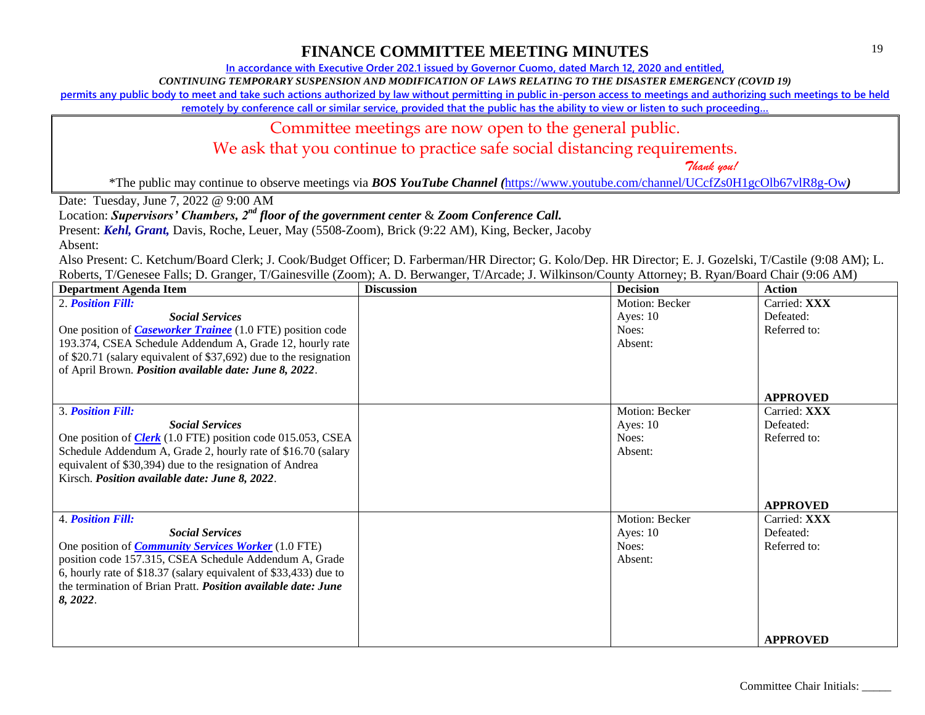**In accordance with Executive Order 202.1 issued by Governor Cuomo, dated March 12, 2020 and entitled,**

*CONTINUING TEMPORARY SUSPENSION AND MODIFICATION OF LAWS RELATING TO THE DISASTER EMERGENCY (COVID 19)*

**permits any public body to meet and take such actions authorized by law without permitting in public in-person access to meetings and authorizing such meetings to be held** 

**remotely by conference call or similar service, provided that the public has the ability to view or listen to such proceeding…**

### Committee meetings are now open to the general public.

We ask that you continue to practice safe social distancing requirements.

 *Thank you!*

\*The public may continue to observe meetings via *BOS YouTube Channel (*<https://www.youtube.com/channel/UCcfZs0H1gcOlb67vlR8g-Ow>*)*

Date: Tuesday, June 7, 2022 @ 9:00 AM

Location: *Supervisors' Chambers, 2nd floor of the government center* & *Zoom Conference Call.*

Present: *Kehl, Grant,* Davis, Roche, Leuer, May (5508-Zoom), Brick (9:22 AM), King, Becker, Jacoby

Absent:

| <b>Department Agenda Item</b>                                        | <b>Discussion</b> | <b>Decision</b> | <b>Action</b>   |
|----------------------------------------------------------------------|-------------------|-----------------|-----------------|
| 2. Position Fill:                                                    |                   | Motion: Becker  | Carried: XXX    |
| <b>Social Services</b>                                               |                   | Ayes: $10$      | Defeated:       |
| One position of <i>Caseworker Trainee</i> (1.0 FTE) position code    |                   | Noes:           | Referred to:    |
| 193.374, CSEA Schedule Addendum A, Grade 12, hourly rate             |                   | Absent:         |                 |
| of \$20.71 (salary equivalent of \$37,692) due to the resignation    |                   |                 |                 |
| of April Brown. Position available date: June 8, 2022.               |                   |                 |                 |
|                                                                      |                   |                 |                 |
|                                                                      |                   |                 | <b>APPROVED</b> |
| <b>3. Position Fill:</b>                                             |                   | Motion: Becker  | Carried: XXX    |
| <b>Social Services</b>                                               |                   | Ayes: $10$      | Defeated:       |
| One position of <b>Clerk</b> (1.0 FTE) position code 015.053, CSEA   |                   | Noes:           | Referred to:    |
| Schedule Addendum A, Grade 2, hourly rate of \$16.70 (salary         |                   | Absent:         |                 |
| equivalent of \$30,394) due to the resignation of Andrea             |                   |                 |                 |
| Kirsch. Position available date: June 8, 2022.                       |                   |                 |                 |
|                                                                      |                   |                 |                 |
|                                                                      |                   |                 | <b>APPROVED</b> |
| <b>4. Position Fill:</b>                                             |                   | Motion: Becker  | Carried: XXX    |
| <b>Social Services</b>                                               |                   | Ayes: $10$      | Defeated:       |
| One position of <i>Community Services Worker</i> (1.0 FTE)           |                   | Noes:           | Referred to:    |
| position code 157.315, CSEA Schedule Addendum A, Grade               |                   | Absent:         |                 |
| 6, hourly rate of \$18.37 (salary equivalent of \$33,433) due to     |                   |                 |                 |
| the termination of Brian Pratt. <i>Position available date: June</i> |                   |                 |                 |
| 8, 2022.                                                             |                   |                 |                 |
|                                                                      |                   |                 |                 |
|                                                                      |                   |                 |                 |
|                                                                      |                   |                 | <b>APPROVED</b> |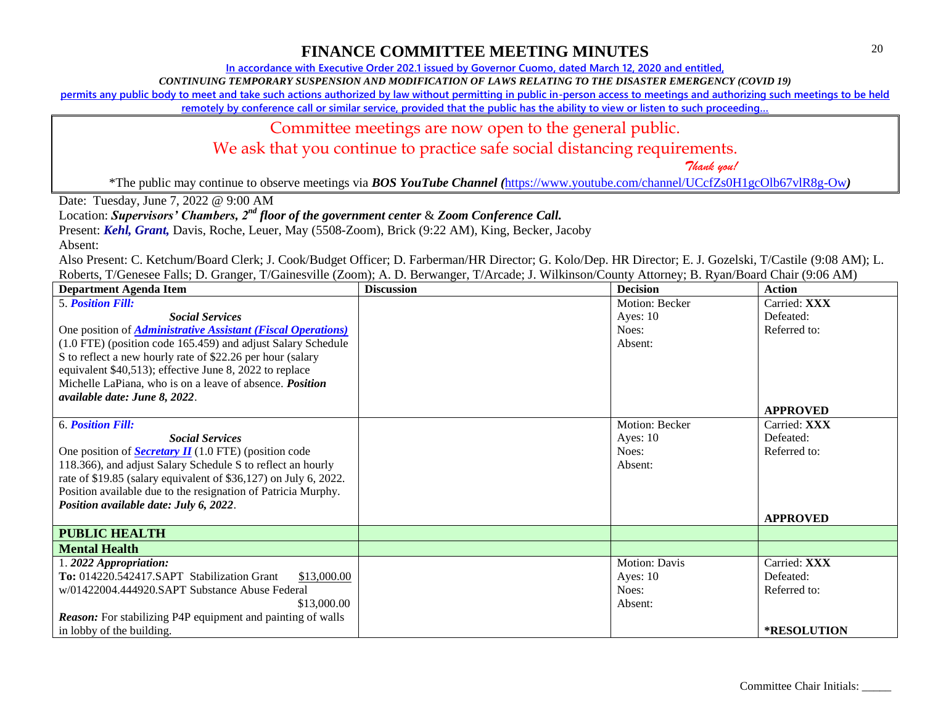**In accordance with Executive Order 202.1 issued by Governor Cuomo, dated March 12, 2020 and entitled,**

*CONTINUING TEMPORARY SUSPENSION AND MODIFICATION OF LAWS RELATING TO THE DISASTER EMERGENCY (COVID 19)*

**permits any public body to meet and take such actions authorized by law without permitting in public in-person access to meetings and authorizing such meetings to be held** 

remotely by conference call or similar service, provided that the public has the ability to view or listen to such proceeding..

### Committee meetings are now open to the general public.

We ask that you continue to practice safe social distancing requirements.

 *Thank you!*

\*The public may continue to observe meetings via *BOS YouTube Channel (*<https://www.youtube.com/channel/UCcfZs0H1gcOlb67vlR8g-Ow>*)*

Date: Tuesday, June 7, 2022 @ 9:00 AM

Location: *Supervisors' Chambers, 2nd floor of the government center* & *Zoom Conference Call.*

Present: *Kehl, Grant,* Davis, Roche, Leuer, May (5508-Zoom), Brick (9:22 AM), King, Becker, Jacoby

Absent:

| <b>Department Agenda Item</b>                                       | <b>Discussion</b> | <b>Decision</b>      | <b>Action</b>      |
|---------------------------------------------------------------------|-------------------|----------------------|--------------------|
| <b>5. Position Fill:</b>                                            |                   | Motion: Becker       | Carried: XXX       |
| <b>Social Services</b>                                              |                   | Ayes: 10             | Defeated:          |
| One position of <i>Administrative Assistant (Fiscal Operations)</i> |                   | Noes:                | Referred to:       |
| (1.0 FTE) (position code 165.459) and adjust Salary Schedule        |                   | Absent:              |                    |
| S to reflect a new hourly rate of \$22.26 per hour (salary          |                   |                      |                    |
| equivalent \$40,513); effective June 8, 2022 to replace             |                   |                      |                    |
| Michelle LaPiana, who is on a leave of absence. <i>Position</i>     |                   |                      |                    |
| available date: June 8, 2022.                                       |                   |                      |                    |
|                                                                     |                   |                      | <b>APPROVED</b>    |
| <b>6. Position Fill:</b>                                            |                   | Motion: Becker       | Carried: XXX       |
| <b>Social Services</b>                                              |                   | Ayes: $10$           | Defeated:          |
| One position of <b>Secretary II</b> (1.0 FTE) (position code        |                   | Noes:                | Referred to:       |
| 118.366), and adjust Salary Schedule S to reflect an hourly         |                   | Absent:              |                    |
| rate of \$19.85 (salary equivalent of \$36,127) on July 6, 2022.    |                   |                      |                    |
| Position available due to the resignation of Patricia Murphy.       |                   |                      |                    |
| Position available date: July 6, 2022.                              |                   |                      |                    |
|                                                                     |                   |                      | <b>APPROVED</b>    |
| <b>PUBLIC HEALTH</b>                                                |                   |                      |                    |
| <b>Mental Health</b>                                                |                   |                      |                    |
| 1.2022 Appropriation:                                               |                   | <b>Motion: Davis</b> | Carried: XXX       |
| To: 014220.542417.SAPT Stabilization Grant<br>\$13,000.00           |                   | Ayes: $10$           | Defeated:          |
| w/01422004.444920.SAPT Substance Abuse Federal                      |                   | Noes:                | Referred to:       |
| \$13,000.00                                                         |                   | Absent:              |                    |
| <b>Reason:</b> For stabilizing P4P equipment and painting of walls  |                   |                      |                    |
| in lobby of the building.                                           |                   |                      | <b>*RESOLUTION</b> |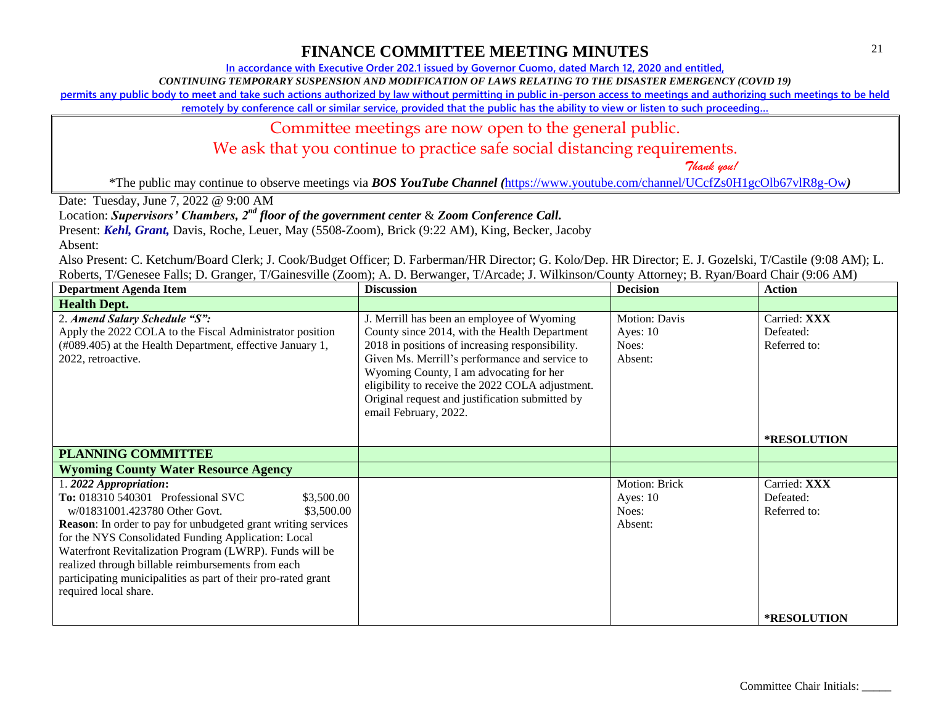**In accordance with Executive Order 202.1 issued by Governor Cuomo, dated March 12, 2020 and entitled,**

*CONTINUING TEMPORARY SUSPENSION AND MODIFICATION OF LAWS RELATING TO THE DISASTER EMERGENCY (COVID 19)*

**permits any public body to meet and take such actions authorized by law without permitting in public in-person access to meetings and authorizing such meetings to be held** 

**remotely by conference call or similar service, provided that the public has the ability to view or listen to such proceeding…**

### Committee meetings are now open to the general public.

We ask that you continue to practice safe social distancing requirements.

 *Thank you!*

\*The public may continue to observe meetings via *BOS YouTube Channel (*<https://www.youtube.com/channel/UCcfZs0H1gcOlb67vlR8g-Ow>*)*

Date: Tuesday, June 7, 2022 @ 9:00 AM

Location: *Supervisors' Chambers, 2nd floor of the government center* & *Zoom Conference Call.*

Present: *Kehl, Grant,* Davis, Roche, Leuer, May (5508-Zoom), Brick (9:22 AM), King, Becker, Jacoby

Absent:

| <b>Department Agenda Item</b>                                                                                                                                                                                                                                                                                                                                                                                                                                | <b>Discussion</b>                                                                                                                                                                                                                                                                                                                                                           | <b>Decision</b>                                        | <b>Action</b>                             |
|--------------------------------------------------------------------------------------------------------------------------------------------------------------------------------------------------------------------------------------------------------------------------------------------------------------------------------------------------------------------------------------------------------------------------------------------------------------|-----------------------------------------------------------------------------------------------------------------------------------------------------------------------------------------------------------------------------------------------------------------------------------------------------------------------------------------------------------------------------|--------------------------------------------------------|-------------------------------------------|
| <b>Health Dept.</b>                                                                                                                                                                                                                                                                                                                                                                                                                                          |                                                                                                                                                                                                                                                                                                                                                                             |                                                        |                                           |
| 2. Amend Salary Schedule "S":<br>Apply the 2022 COLA to the Fiscal Administrator position<br>(#089.405) at the Health Department, effective January 1,<br>2022, retroactive.                                                                                                                                                                                                                                                                                 | J. Merrill has been an employee of Wyoming<br>County since 2014, with the Health Department<br>2018 in positions of increasing responsibility.<br>Given Ms. Merrill's performance and service to<br>Wyoming County, I am advocating for her<br>eligibility to receive the 2022 COLA adjustment.<br>Original request and justification submitted by<br>email February, 2022. | <b>Motion: Davis</b><br>Ayes: $10$<br>Noes:<br>Absent: | Carried: XXX<br>Defeated:<br>Referred to: |
|                                                                                                                                                                                                                                                                                                                                                                                                                                                              |                                                                                                                                                                                                                                                                                                                                                                             |                                                        | *RESOLUTION                               |
| <b>PLANNING COMMITTEE</b>                                                                                                                                                                                                                                                                                                                                                                                                                                    |                                                                                                                                                                                                                                                                                                                                                                             |                                                        |                                           |
| <b>Wyoming County Water Resource Agency</b>                                                                                                                                                                                                                                                                                                                                                                                                                  |                                                                                                                                                                                                                                                                                                                                                                             |                                                        |                                           |
| 1. 2022 Appropriation:<br>To: 018310 540301 Professional SVC<br>\$3,500.00<br>\$3,500.00<br>w/01831001.423780 Other Govt.<br>Reason: In order to pay for unbudgeted grant writing services<br>for the NYS Consolidated Funding Application: Local<br>Waterfront Revitalization Program (LWRP). Funds will be<br>realized through billable reimbursements from each<br>participating municipalities as part of their pro-rated grant<br>required local share. |                                                                                                                                                                                                                                                                                                                                                                             | Motion: Brick<br>Ayes: $10$<br>Noes:<br>Absent:        | Carried: XXX<br>Defeated:<br>Referred to: |
|                                                                                                                                                                                                                                                                                                                                                                                                                                                              |                                                                                                                                                                                                                                                                                                                                                                             |                                                        | <b>*RESOLUTION</b>                        |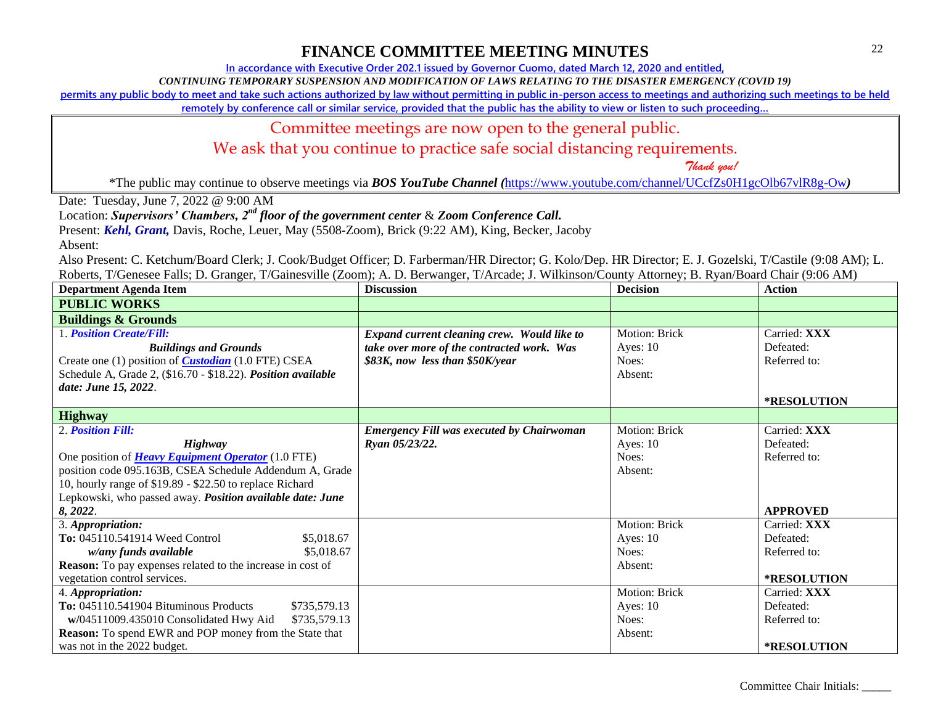**In accordance with Executive Order 202.1 issued by Governor Cuomo, dated March 12, 2020 and entitled,**

*CONTINUING TEMPORARY SUSPENSION AND MODIFICATION OF LAWS RELATING TO THE DISASTER EMERGENCY (COVID 19)*

**permits any public body to meet and take such actions authorized by law without permitting in public in-person access to meetings and authorizing such meetings to be held** 

**remotely by conference call or similar service, provided that the public has the ability to view or listen to such proceeding…**

### Committee meetings are now open to the general public.

We ask that you continue to practice safe social distancing requirements.

 *Thank you!*

\*The public may continue to observe meetings via *BOS YouTube Channel (*<https://www.youtube.com/channel/UCcfZs0H1gcOlb67vlR8g-Ow>*)*

Date: Tuesday, June 7, 2022 @ 9:00 AM

Location: *Supervisors' Chambers, 2nd floor of the government center* & *Zoom Conference Call.*

Present: *Kehl, Grant,* Davis, Roche, Leuer, May (5508-Zoom), Brick (9:22 AM), King, Becker, Jacoby

Absent:

| <b>Department Agenda Item</b>                                     | <b>Discussion</b>                                | <b>Decision</b>      | <b>Action</b>      |
|-------------------------------------------------------------------|--------------------------------------------------|----------------------|--------------------|
| <b>PUBLIC WORKS</b>                                               |                                                  |                      |                    |
| <b>Buildings &amp; Grounds</b>                                    |                                                  |                      |                    |
| 1. Position Create/Fill:                                          | Expand current cleaning crew. Would like to      | <b>Motion: Brick</b> | Carried: XXX       |
| <b>Buildings and Grounds</b>                                      | take over more of the contracted work. Was       | Ayes: $10$           | Defeated:          |
| Create one (1) position of <i>Custodian</i> (1.0 FTE) CSEA        | \$83K, now less than \$50K/year                  | Noes:                | Referred to:       |
| Schedule A, Grade 2, (\$16.70 - \$18.22). Position available      |                                                  | Absent:              |                    |
| date: June 15, 2022.                                              |                                                  |                      |                    |
|                                                                   |                                                  |                      | <b>*RESOLUTION</b> |
| <b>Highway</b>                                                    |                                                  |                      |                    |
| 2. Position Fill:                                                 | <b>Emergency Fill was executed by Chairwoman</b> | <b>Motion: Brick</b> | Carried: XXX       |
| <b>Highway</b>                                                    | Ryan 05/23/22.                                   | Ayes: $10$           | Defeated:          |
| One position of <b>Heavy Equipment Operator</b> (1.0 FTE)         |                                                  | Noes:                | Referred to:       |
| position code 095.163B, CSEA Schedule Addendum A, Grade           |                                                  | Absent:              |                    |
| 10, hourly range of \$19.89 - \$22.50 to replace Richard          |                                                  |                      |                    |
| Lepkowski, who passed away. Position available date: June         |                                                  |                      |                    |
| 8, 2022.                                                          |                                                  |                      | <b>APPROVED</b>    |
| 3. Appropriation:                                                 |                                                  | Motion: Brick        | Carried: XXX       |
| To: 045110.541914 Weed Control<br>\$5,018.67                      |                                                  | Ayes: $10$           | Defeated:          |
| w/any funds available<br>\$5,018.67                               |                                                  | Noes:                | Referred to:       |
| <b>Reason:</b> To pay expenses related to the increase in cost of |                                                  | Absent:              |                    |
| vegetation control services.                                      |                                                  |                      | <b>*RESOLUTION</b> |
| 4. Appropriation:                                                 |                                                  | Motion: Brick        | Carried: XXX       |
| To: 045110.541904 Bituminous Products<br>\$735,579.13             |                                                  | Ayes: $10$           | Defeated:          |
| w/04511009.435010 Consolidated Hwy Aid<br>\$735,579.13            |                                                  | Noes:                | Referred to:       |
| <b>Reason:</b> To spend EWR and POP money from the State that     |                                                  | Absent:              |                    |
| was not in the 2022 budget.                                       |                                                  |                      | *RESOLUTION        |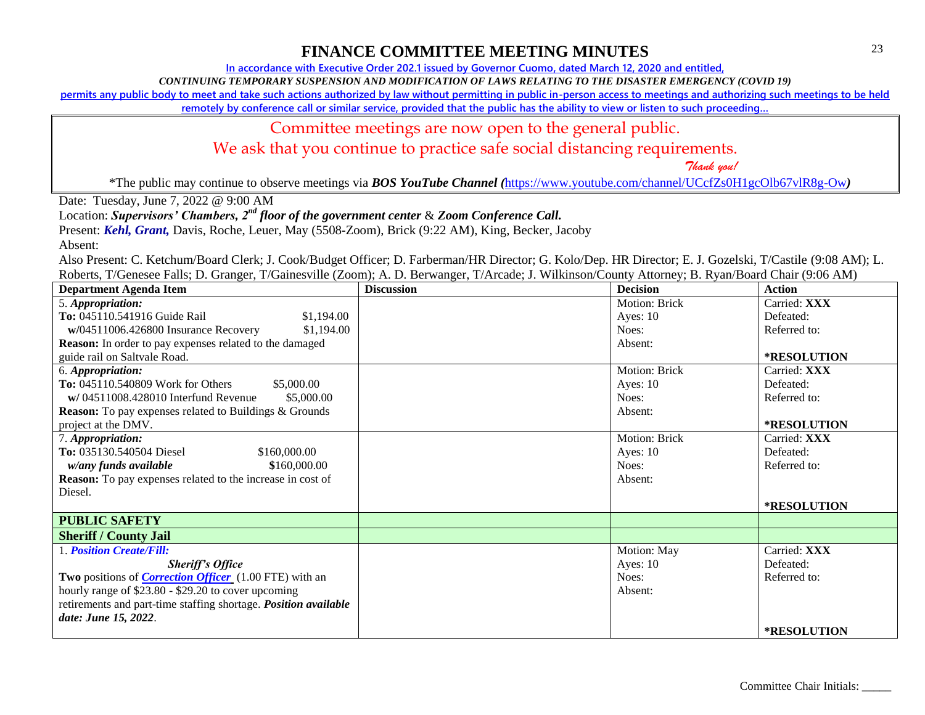**In accordance with Executive Order 202.1 issued by Governor Cuomo, dated March 12, 2020 and entitled,**

*CONTINUING TEMPORARY SUSPENSION AND MODIFICATION OF LAWS RELATING TO THE DISASTER EMERGENCY (COVID 19)*

**permits any public body to meet and take such actions authorized by law without permitting in public in-person access to meetings and authorizing such meetings to be held** 

**remotely by conference call or similar service, provided that the public has the ability to view or listen to such proceeding…**

### Committee meetings are now open to the general public.

We ask that you continue to practice safe social distancing requirements.

 *Thank you!*

\*The public may continue to observe meetings via *BOS YouTube Channel (*<https://www.youtube.com/channel/UCcfZs0H1gcOlb67vlR8g-Ow>*)*

Date: Tuesday, June 7, 2022 @ 9:00 AM

Location: *Supervisors' Chambers, 2nd floor of the government center* & *Zoom Conference Call.*

Present: *Kehl, Grant,* Davis, Roche, Leuer, May (5508-Zoom), Brick (9:22 AM), King, Becker, Jacoby

Absent:

| <b>Department Agenda Item</b>                                     | <b>Discussion</b> | <b>Decision</b> | Action             |
|-------------------------------------------------------------------|-------------------|-----------------|--------------------|
| 5. Appropriation:                                                 |                   | Motion: Brick   | Carried: XXX       |
| To: 045110.541916 Guide Rail<br>\$1,194.00                        |                   | Ayes: $10$      | Defeated:          |
| \$1,194.00<br>w/04511006.426800 Insurance Recovery                |                   | Noes:           | Referred to:       |
| Reason: In order to pay expenses related to the damaged           |                   | Absent:         |                    |
| guide rail on Saltvale Road.                                      |                   |                 | <b>*RESOLUTION</b> |
| 6. Appropriation:                                                 |                   | Motion: Brick   | Carried: XXX       |
| To: 045110.540809 Work for Others<br>\$5,000.00                   |                   | Ayes: $10$      | Defeated:          |
| $w/04511008.428010$ Interfund Revenue<br>\$5,000.00               |                   | Noes:           | Referred to:       |
| <b>Reason:</b> To pay expenses related to Buildings & Grounds     |                   | Absent:         |                    |
| project at the DMV.                                               |                   |                 | *RESOLUTION        |
| 7. Appropriation:                                                 |                   | Motion: Brick   | Carried: XXX       |
| To: 035130.540504 Diesel<br>\$160,000.00                          |                   | Ayes: $10$      | Defeated:          |
| w/any funds available<br>\$160,000.00                             |                   | Noes:           | Referred to:       |
| <b>Reason:</b> To pay expenses related to the increase in cost of |                   | Absent:         |                    |
| Diesel.                                                           |                   |                 |                    |
|                                                                   |                   |                 | *RESOLUTION        |
| <b>PUBLIC SAFETY</b>                                              |                   |                 |                    |
| <b>Sheriff / County Jail</b>                                      |                   |                 |                    |
| 1. Position Create/Fill:                                          |                   | Motion: May     | Carried: XXX       |
| <b>Sheriff's Office</b>                                           |                   | Ayes: $10$      | Defeated:          |
| Two positions of <i>Correction Officer</i> (1.00 FTE) with an     |                   | Noes:           | Referred to:       |
| hourly range of \$23.80 - \$29.20 to cover upcoming               |                   | Absent:         |                    |
| retirements and part-time staffing shortage. Position available   |                   |                 |                    |
| date: June 15, 2022.                                              |                   |                 |                    |
|                                                                   |                   |                 | <b>*RESOLUTION</b> |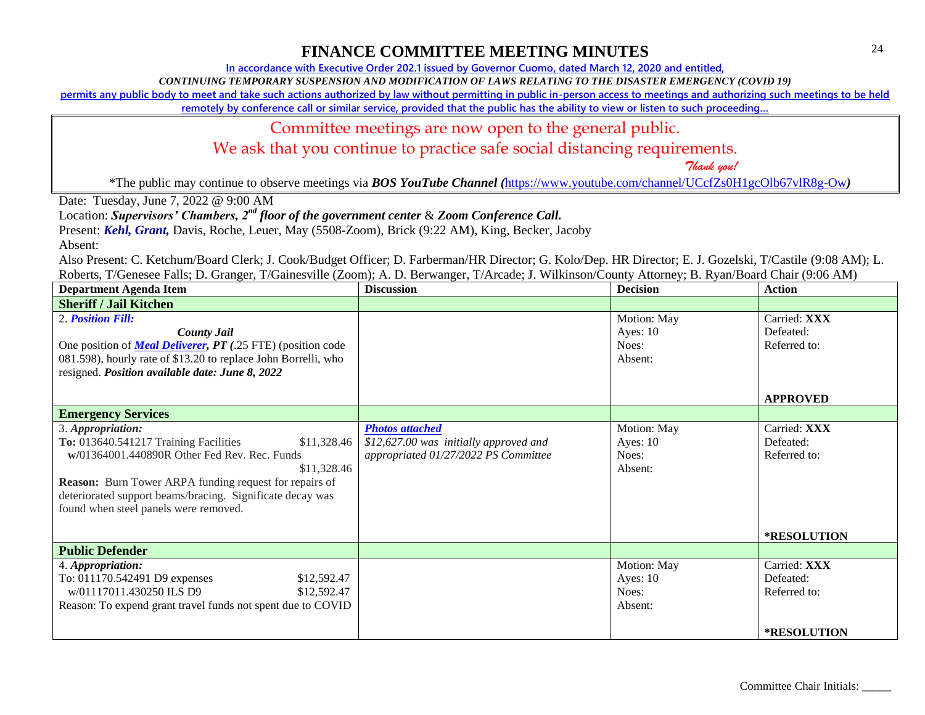**In accordance with Executive Order 202.1 issued by Governor Cuomo, dated March 12, 2020 and entitled,**

*CONTINUING TEMPORARY SUSPENSION AND MODIFICATION OF LAWS RELATING TO THE DISASTER EMERGENCY (COVID 19)*

**permits any public body to meet and take such actions authorized by law without permitting in public in-person access to meetings and authorizing such meetings to be held** 

**remotely by conference call or similar service, provided that the public has the ability to view or listen to such proceeding…**

### Committee meetings are now open to the general public.

We ask that you continue to practice safe social distancing requirements.

 *Thank you!*

\*The public may continue to observe meetings via *BOS YouTube Channel (*<https://www.youtube.com/channel/UCcfZs0H1gcOlb67vlR8g-Ow>*)*

Date: Tuesday, June 7, 2022 @ 9:00 AM

Location: *Supervisors' Chambers, 2nd floor of the government center* & *Zoom Conference Call.*

Present: *Kehl, Grant,* Davis, Roche, Leuer, May (5508-Zoom), Brick (9:22 AM), King, Becker, Jacoby

Absent:

| <b>Department Agenda Item</b>                                                                                                                                                                                                                                                                                   | <b>Discussion</b>                                                                                        | <b>Decision</b>                               | <b>Action</b>                                            |
|-----------------------------------------------------------------------------------------------------------------------------------------------------------------------------------------------------------------------------------------------------------------------------------------------------------------|----------------------------------------------------------------------------------------------------------|-----------------------------------------------|----------------------------------------------------------|
| <b>Sheriff / Jail Kitchen</b>                                                                                                                                                                                                                                                                                   |                                                                                                          |                                               |                                                          |
| 2. Position Fill:<br><b>County Jail</b><br>One position of <b>Meal Deliverer, PT</b> (.25 FTE) (position code<br>081.598), hourly rate of \$13.20 to replace John Borrelli, who<br>resigned. Position available date: June 8, 2022                                                                              |                                                                                                          | Motion: May<br>Ayes: $10$<br>Noes:<br>Absent: | Carried: XXX<br>Defeated:<br>Referred to:                |
|                                                                                                                                                                                                                                                                                                                 |                                                                                                          |                                               | <b>APPROVED</b>                                          |
| <b>Emergency Services</b>                                                                                                                                                                                                                                                                                       |                                                                                                          |                                               |                                                          |
| 3. Appropriation:<br>To: 013640.541217 Training Facilities<br>\$11,328.46<br>w/01364001.440890R Other Fed Rev. Rec. Funds<br>\$11,328.46<br><b>Reason:</b> Burn Tower ARPA funding request for repairs of<br>deteriorated support beams/bracing. Significate decay was<br>found when steel panels were removed. | <b>Photos attached</b><br>\$12,627.00 was initially approved and<br>appropriated 01/27/2022 PS Committee | Motion: May<br>Ayes: $10$<br>Noes:<br>Absent: | Carried: XXX<br>Defeated:<br>Referred to:<br>*RESOLUTION |
| <b>Public Defender</b>                                                                                                                                                                                                                                                                                          |                                                                                                          |                                               |                                                          |
| 4. Appropriation:<br>To: 011170.542491 D9 expenses<br>\$12,592.47<br>w/01117011.430250 ILS D9<br>\$12,592.47<br>Reason: To expend grant travel funds not spent due to COVID                                                                                                                                     |                                                                                                          | Motion: May<br>Ayes: $10$<br>Noes:<br>Absent: | Carried: XXX<br>Defeated:<br>Referred to:                |
|                                                                                                                                                                                                                                                                                                                 |                                                                                                          |                                               | *RESOLUTION                                              |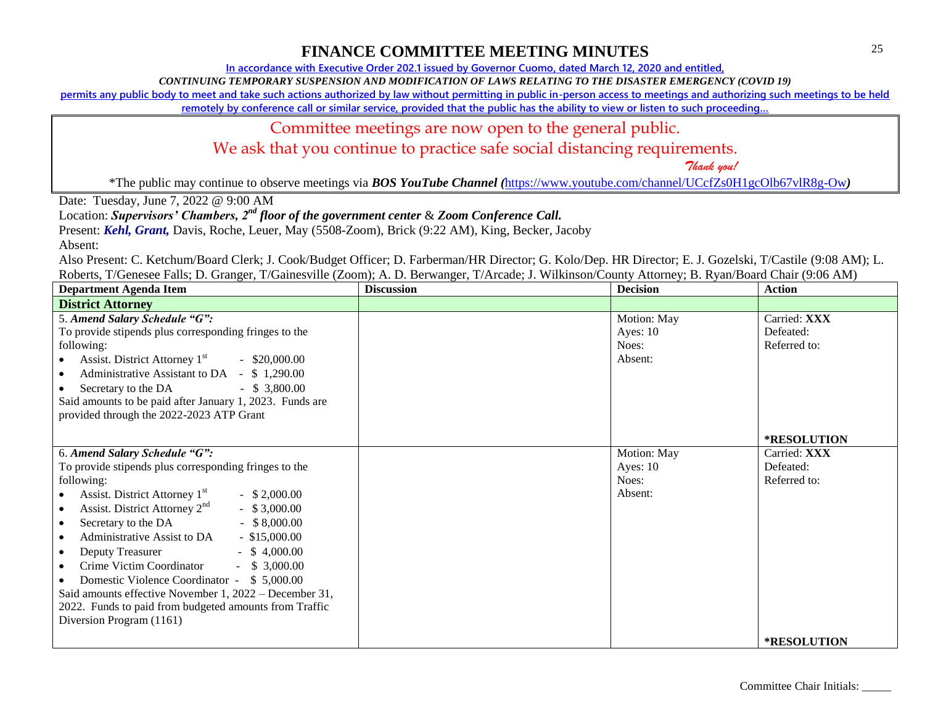**In accordance with Executive Order 202.1 issued by Governor Cuomo, dated March 12, 2020 and entitled,**

*CONTINUING TEMPORARY SUSPENSION AND MODIFICATION OF LAWS RELATING TO THE DISASTER EMERGENCY (COVID 19)*

**permits any public body to meet and take such actions authorized by law without permitting in public in-person access to meetings and authorizing such meetings to be held** 

**remotely by conference call or similar service, provided that the public has the ability to view or listen to such proceeding…**

### Committee meetings are now open to the general public.

We ask that you continue to practice safe social distancing requirements.

 *Thank you!*

\*The public may continue to observe meetings via *BOS YouTube Channel (*<https://www.youtube.com/channel/UCcfZs0H1gcOlb67vlR8g-Ow>*)*

Date: Tuesday, June 7, 2022 @ 9:00 AM

Location: *Supervisors' Chambers, 2nd floor of the government center* & *Zoom Conference Call.*

Present: *Kehl, Grant,* Davis, Roche, Leuer, May (5508-Zoom), Brick (9:22 AM), King, Becker, Jacoby

Absent:

| <b>Department Agenda Item</b>                                                                                                                                                                                                                                                                                                                                                                                                                                                                                                                                                                                                  | <b>Discussion</b> | <b>Decision</b>                               | <b>Action</b>                             |
|--------------------------------------------------------------------------------------------------------------------------------------------------------------------------------------------------------------------------------------------------------------------------------------------------------------------------------------------------------------------------------------------------------------------------------------------------------------------------------------------------------------------------------------------------------------------------------------------------------------------------------|-------------------|-----------------------------------------------|-------------------------------------------|
| <b>District Attorney</b>                                                                                                                                                                                                                                                                                                                                                                                                                                                                                                                                                                                                       |                   |                                               |                                           |
| 5. Amend Salary Schedule "G":<br>To provide stipends plus corresponding fringes to the<br>following:<br>Assist. District Attorney $1st$ - \$20,000.00<br>Administrative Assistant to DA - \$1,290.00<br>Secretary to the DA - \$ 3,800.00<br>Said amounts to be paid after January 1, 2023. Funds are<br>provided through the 2022-2023 ATP Grant                                                                                                                                                                                                                                                                              |                   | Motion: May<br>Ayes: $10$<br>Noes:<br>Absent: | Carried: XXX<br>Defeated:<br>Referred to: |
|                                                                                                                                                                                                                                                                                                                                                                                                                                                                                                                                                                                                                                |                   |                                               | *RESOLUTION                               |
| 6. Amend Salary Schedule "G":<br>To provide stipends plus corresponding fringes to the<br>following:<br>Assist. District Attorney 1 <sup>st</sup><br>$-$ \$ 2,000.00<br>Assist. District Attorney 2 <sup>nd</sup><br>$-$ \$ 3,000.00<br>Secretary to the DA - \$8,000.00<br>$\bullet$<br>Administrative Assist to DA - \$15,000.00<br>Deputy Treasurer<br>$-$ \$ 4,000.00<br>$\bullet$<br>Crime Victim Coordinator - \$ 3,000.00<br>Domestic Violence Coordinator - \$5,000.00<br>Said amounts effective November 1, 2022 – December 31,<br>2022. Funds to paid from budgeted amounts from Traffic<br>Diversion Program (1161) |                   | Motion: May<br>Ayes: $10$<br>Noes:<br>Absent: | Carried: XXX<br>Defeated:<br>Referred to: |
|                                                                                                                                                                                                                                                                                                                                                                                                                                                                                                                                                                                                                                |                   |                                               | <b>*RESOLUTION</b>                        |